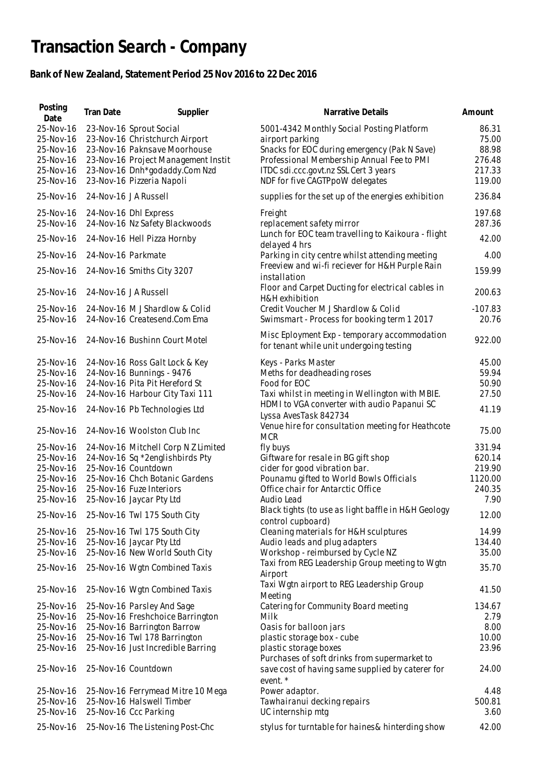## **Transaction Search - Company**

## **Bank of New Zealand, Statement Period 25 Nov 2016 to 22 Dec 2016**

| Posting<br>Date                                                            | Tran Date            | Supplier                                                                                                                                                                                       | Narrative Details                                                                                                                                                                                                                     | Amount                                                |
|----------------------------------------------------------------------------|----------------------|------------------------------------------------------------------------------------------------------------------------------------------------------------------------------------------------|---------------------------------------------------------------------------------------------------------------------------------------------------------------------------------------------------------------------------------------|-------------------------------------------------------|
| 25-Nov-16<br>25-Nov-16<br>25-Nov-16<br>25-Nov-16<br>25-Nov-16<br>25-Nov-16 |                      | 23-Nov-16 Sprout Social<br>23-Nov-16 Christchurch Airport<br>23-Nov-16 Paknsave Moorhouse<br>23-Nov-16 Project Management Instit<br>23-Nov-16 Dnh*godaddy.Com Nzd<br>23-Nov-16 Pizzeria Napoli | 5001-4342 Monthly Social Posting Platform<br>airport parking<br>Snacks for EOC during emergency (Pak N Save)<br>Professional Membership Annual Fee to PMI<br>ITDC sdi.ccc.govt.nz SSL Cert 3 years<br>NDF for five CAGTPpoW delegates | 86.31<br>75.00<br>88.98<br>276.48<br>217.33<br>119.00 |
| 25-Nov-16                                                                  | 24-Nov-16 JA Russell |                                                                                                                                                                                                | supplies for the set up of the energies exhibition                                                                                                                                                                                    | 236.84                                                |
| 25-Nov-16<br>25-Nov-16                                                     |                      | 24-Nov-16 Dhl Express<br>24-Nov-16 Nz Safety Blackwoods                                                                                                                                        | Freight<br>replacement safety mirror<br>Lunch for EOC team travelling to Kaikoura - flight                                                                                                                                            | 197.68<br>287.36                                      |
| 25-Nov-16                                                                  |                      | 24-Nov-16 Hell Pizza Hornby                                                                                                                                                                    | delayed 4 hrs                                                                                                                                                                                                                         | 42.00                                                 |
| 25-Nov-16<br>25-Nov-16                                                     | 24-Nov-16 Parkmate   | 24-Nov-16 Smiths City 3207                                                                                                                                                                     | Parking in city centre whilst attending meeting<br>Freeview and wi-fi reciever for H&H Purple Rain<br>installation                                                                                                                    | 4.00<br>159.99                                        |
| 25-Nov-16                                                                  | 24-Nov-16 JA Russell |                                                                                                                                                                                                | Floor and Carpet Ducting for electrical cables in                                                                                                                                                                                     | 200.63                                                |
| 25-Nov-16<br>25-Nov-16                                                     |                      | 24-Nov-16 M J Shardlow & Colid<br>24-Nov-16 Createsend.Com Ema                                                                                                                                 | H&H exhibition<br>Credit Voucher M J Shardlow & Colid<br>Swimsmart - Process for booking term 1 2017                                                                                                                                  | $-107.83$<br>20.76                                    |
| 25-Nov-16                                                                  |                      | 24-Nov-16 Bushinn Court Motel                                                                                                                                                                  | Misc Eployment Exp - temporary accommodation<br>for tenant while unit undergoing testing                                                                                                                                              | 922.00                                                |
| 25-Nov-16                                                                  |                      | 24-Nov-16 Ross Galt Lock & Key                                                                                                                                                                 | Keys - Parks Master                                                                                                                                                                                                                   | 45.00                                                 |
| 25-Nov-16                                                                  |                      | 24-Nov-16 Bunnings - 9476                                                                                                                                                                      | Meths for deadheading roses                                                                                                                                                                                                           | 59.94                                                 |
| 25-Nov-16                                                                  |                      | 24-Nov-16 Pita Pit Hereford St                                                                                                                                                                 | Food for EOC                                                                                                                                                                                                                          | 50.90                                                 |
| 25-Nov-16<br>25-Nov-16                                                     |                      | 24-Nov-16 Harbour City Taxi 111<br>24-Nov-16 Pb Technologies Ltd                                                                                                                               | Taxi whilst in meeting in Wellington with MBIE.<br>HDMI to VGA converter with audio Papanui SC                                                                                                                                        | 27.50<br>41.19                                        |
| 25-Nov-16                                                                  |                      | 24-Nov-16 Woolston Club Inc                                                                                                                                                                    | Lyssa AvesTask 842734<br>Venue hire for consultation meeting for Heathcote<br><b>MCR</b>                                                                                                                                              | 75.00                                                 |
| 25-Nov-16                                                                  |                      | 24-Nov-16 Mitchell Corp N Z Limited                                                                                                                                                            | fly buys                                                                                                                                                                                                                              | 331.94                                                |
| 25-Nov-16                                                                  |                      | 24-Nov-16 Sq *2englishbirds Pty                                                                                                                                                                | Giftware for resale in BG gift shop                                                                                                                                                                                                   | 620.14                                                |
| 25-Nov-16                                                                  |                      | 25-Nov-16 Countdown                                                                                                                                                                            | cider for good vibration bar.                                                                                                                                                                                                         | 219.90                                                |
| 25-Nov-16                                                                  |                      | 25-Nov-16 Chch Botanic Gardens                                                                                                                                                                 | Pounamu gifted to World Bowls Officials                                                                                                                                                                                               | 1120.00                                               |
| 25-Nov-16                                                                  |                      | 25-Nov-16 Fuze Interiors                                                                                                                                                                       | Office chair for Antarctic Office                                                                                                                                                                                                     | 240.35                                                |
| 25-Nov-16                                                                  |                      | 25-Nov-16 Jaycar Pty Ltd                                                                                                                                                                       | Audio Lead                                                                                                                                                                                                                            | 7.90                                                  |
| 25-Nov-16                                                                  |                      | 25-Nov-16 Twl 175 South City                                                                                                                                                                   | Black tights (to use as light baffle in H&H Geology<br>control cupboard)                                                                                                                                                              | 12.00                                                 |
| 25-Nov-16                                                                  |                      | 25-Nov-16 Twl 175 South City                                                                                                                                                                   | Cleaning materials for H&H sculptures                                                                                                                                                                                                 | 14.99                                                 |
| 25-Nov-16                                                                  |                      | 25-Nov-16 Jaycar Pty Ltd                                                                                                                                                                       | Audio leads and plug adapters                                                                                                                                                                                                         | 134.40                                                |
| 25-Nov-16                                                                  |                      | 25-Nov-16 New World South City                                                                                                                                                                 | Workshop - reimbursed by Cycle NZ                                                                                                                                                                                                     | 35.00                                                 |
| 25-Nov-16                                                                  |                      | 25-Nov-16 Wgtn Combined Taxis                                                                                                                                                                  | Taxi from REG Leadership Group meeting to Wgtn<br>Airport                                                                                                                                                                             | 35.70                                                 |
| 25-Nov-16                                                                  |                      | 25-Nov-16 Wgtn Combined Taxis                                                                                                                                                                  | Taxi Wgtn airport to REG Leadership Group<br>Meeting                                                                                                                                                                                  | 41.50                                                 |
| 25-Nov-16                                                                  |                      | 25-Nov-16 Parsley And Sage                                                                                                                                                                     | Catering for Community Board meeting                                                                                                                                                                                                  | 134.67                                                |
| 25-Nov-16                                                                  |                      | 25-Nov-16 Freshchoice Barrington                                                                                                                                                               | Milk                                                                                                                                                                                                                                  | 2.79                                                  |
| 25-Nov-16                                                                  |                      | 25-Nov-16 Barrington Barrow                                                                                                                                                                    | Oasis for balloon jars                                                                                                                                                                                                                | 8.00                                                  |
| 25-Nov-16                                                                  |                      | 25-Nov-16 Twl 178 Barrington                                                                                                                                                                   | plastic storage box - cube                                                                                                                                                                                                            | 10.00                                                 |
| 25-Nov-16                                                                  |                      | 25-Nov-16 Just Incredible Barring                                                                                                                                                              | plastic storage boxes<br>Purchases of soft drinks from supermarket to                                                                                                                                                                 | 23.96                                                 |
| 25-Nov-16                                                                  |                      | 25-Nov-16 Countdown                                                                                                                                                                            | save cost of having same supplied by caterer for<br>event. *                                                                                                                                                                          | 24.00                                                 |
| 25-Nov-16                                                                  |                      | 25-Nov-16 Ferrymead Mitre 10 Mega                                                                                                                                                              | Power adaptor.                                                                                                                                                                                                                        | 4.48                                                  |
| 25-Nov-16                                                                  |                      | 25-Nov-16 Halswell Timber                                                                                                                                                                      | Tawhairanui decking repairs                                                                                                                                                                                                           | 500.81                                                |
| 25-Nov-16                                                                  |                      | 25-Nov-16 Ccc Parking                                                                                                                                                                          | UC internship mtg                                                                                                                                                                                                                     | 3.60                                                  |
| 25-Nov-16                                                                  |                      | 25-Nov-16 The Listening Post-Chc                                                                                                                                                               | stylus for turntable for haines & hinterding show                                                                                                                                                                                     | 42.00                                                 |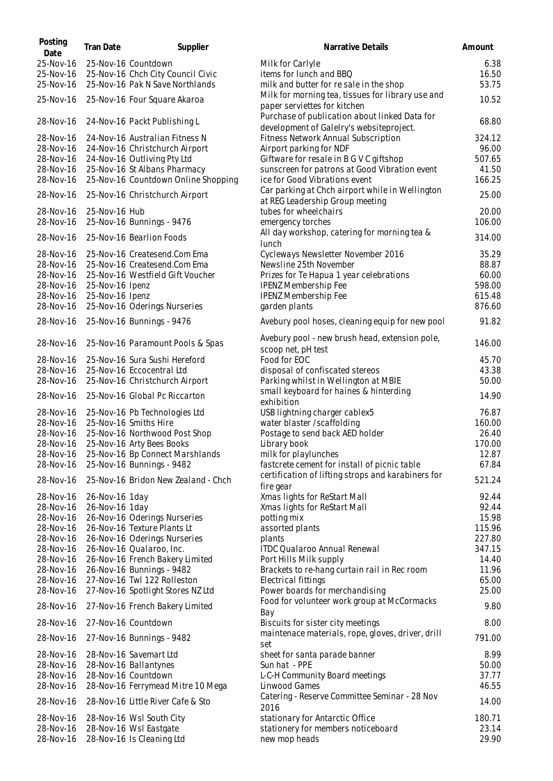| Posting<br>Date        | Tran Date       | Supplier                                                            | Narrative Details                                                                      | Amount          |
|------------------------|-----------------|---------------------------------------------------------------------|----------------------------------------------------------------------------------------|-----------------|
| 25-Nov-16              |                 | 25-Nov-16 Countdown                                                 | Milk for Carlyle                                                                       | 6.38            |
| 25-Nov-16              |                 | 25-Nov-16 Chch City Council Civic                                   | items for lunch and BBQ                                                                | 16.50           |
| 25-Nov-16              |                 | 25-Nov-16 Pak N Save Northlands                                     | milk and butter for resale in the shop                                                 | 53.75           |
| 25-Nov-16              |                 | 25-Nov-16 Four Square Akaroa                                        | Milk for morning tea, tissues for library use and                                      | 10.52           |
| 28-Nov-16              |                 | 24-Nov-16 Packt Publishing L                                        | paper serviettes for kitchen<br>Purchase of publication about linked Data for          | 68.80           |
| 28-Nov-16              |                 | 24-Nov-16 Australian Fitness N                                      | development of Galelry's websiteproject.<br>Fitness Network Annual Subscription        | 324.12          |
|                        |                 | 24-Nov-16 Christchurch Airport                                      |                                                                                        | 96.00           |
| 28-Nov-16              |                 |                                                                     | Airport parking for NDF                                                                |                 |
| 28-Nov-16              |                 | 24-Nov-16 Outliving Pty Ltd                                         | Giftware for resale in B G V C giftshop                                                | 507.65          |
| 28-Nov-16<br>28-Nov-16 |                 | 25-Nov-16 St Albans Pharmacy<br>25-Nov-16 Countdown Online Shopping | sunscreen for patrons at Good Vibration event<br>ice for Good Vibrations event         | 41.50<br>166.25 |
| 28-Nov-16              |                 | 25-Nov-16 Christchurch Airport                                      | Car parking at Chch airport while in Wellington<br>at REG Leadership Group meeting     | 25.00           |
| 28-Nov-16              | 25-Nov-16 Hub   |                                                                     | tubes for wheelchairs                                                                  | 20.00           |
| 28-Nov-16              |                 | 25-Nov-16 Bunnings - 9476                                           | emergency torches                                                                      | 106.00          |
| 28-Nov-16              |                 | 25-Nov-16 Bearlion Foods                                            | All day workshop, catering for morning tea &<br>lunch                                  | 314.00          |
| 28-Nov-16              |                 | 25-Nov-16 Createsend.Com Ema                                        | Cycleways Newsletter November 2016                                                     | 35.29           |
| 28-Nov-16              |                 | 25-Nov-16 Createsend.Com Ema                                        | Newsline 25th November                                                                 | 88.87           |
| 28-Nov-16              |                 | 25-Nov-16 Westfield Gift Voucher                                    | Prizes for Te Hapua 1 year celebrations                                                | 60.00           |
| 28-Nov-16              | 25-Nov-16 Ipenz |                                                                     | <b>IPENZ Membership Fee</b>                                                            | 598.00          |
| 28-Nov-16              | 25-Nov-16 Ipenz |                                                                     | <b>IPENZ Membership Fee</b>                                                            | 615.48          |
| 28-Nov-16              |                 | 25-Nov-16 Oderings Nurseries                                        | garden plants                                                                          | 876.60          |
| 28-Nov-16              |                 | 25-Nov-16 Bunnings - 9476                                           | Avebury pool hoses, cleaning equip for new pool                                        | 91.82           |
|                        |                 |                                                                     | Avebury pool - new brush head, extension pole,                                         |                 |
| 28-Nov-16              |                 | 25-Nov-16 Paramount Pools & Spas                                    | scoop net, pH test                                                                     | 146.00          |
| 28-Nov-16              |                 | 25-Nov-16 Sura Sushi Hereford                                       | Food for EOC                                                                           | 45.70           |
| 28-Nov-16              |                 | 25-Nov-16 Eccocentral Ltd                                           | disposal of confiscated stereos                                                        | 43.38           |
| 28-Nov-16              |                 | 25-Nov-16 Christchurch Airport                                      | Parking whilst in Wellington at MBIE                                                   | 50.00           |
| 28-Nov-16              |                 | 25-Nov-16 Global Pc Riccarton                                       | small keyboard for haines & hinterding<br>exhibition                                   | 14.90           |
| 28-Nov-16              |                 | 25-Nov-16 Pb Technologies Ltd                                       | USB lightning charger cablex5                                                          | 76.87           |
| 28-Nov-16              |                 | 25-Nov-16 Smiths Hire                                               | water blaster /scaffolding                                                             | 160.00          |
| 28-Nov-16              |                 | 25-Nov-16 Northwood Post Shop                                       | Postage to send back AED holder                                                        | 26.40           |
| 28-Nov-16              |                 | 25-Nov-16 Arty Bees Books                                           | Library book                                                                           | 170.00          |
| 28-Nov-16              |                 | 25-Nov-16 Bp Connect Marshlands                                     | milk for playlunches                                                                   | 12.87           |
| 28-Nov-16              |                 | 25-Nov-16 Bunnings - 9482                                           | fastcrete cement for install of picnic table                                           | 67.84           |
| 28-Nov-16              |                 | 25-Nov-16 Bridon New Zealand - Chch                                 | certification of lifting strops and karabiners for<br>fire gear                        | 521.24          |
| 28-Nov-16              | 26-Nov-16 1day  |                                                                     | Xmas lights for ReStart Mall                                                           | 92.44           |
| 28-Nov-16              | 26-Nov-16 1day  |                                                                     | Xmas lights for ReStart Mall                                                           | 92.44           |
| 28-Nov-16              |                 | 26-Nov-16 Oderings Nurseries                                        | potting mix                                                                            | 15.98           |
| 28-Nov-16              |                 | 26-Nov-16 Texture Plants Lt                                         | assorted plants                                                                        | 115.96          |
| 28-Nov-16              |                 | 26-Nov-16 Oderings Nurseries                                        | plants                                                                                 | 227.80          |
|                        |                 |                                                                     |                                                                                        |                 |
| 28-Nov-16              |                 | 26-Nov-16 Qualaroo, Inc.                                            | <b>ITDC Qualaroo Annual Renewal</b>                                                    | 347.15          |
| 28-Nov-16              |                 | 26-Nov-16 French Bakery Limited                                     | Port Hills Milk supply                                                                 | 14.40           |
| 28-Nov-16              |                 | 26-Nov-16 Bunnings - 9482                                           | Brackets to re-hang curtain rail in Rec room                                           | 11.96           |
| 28-Nov-16              |                 | 27-Nov-16 Twl 122 Rolleston                                         | Electrical fittings                                                                    | 65.00           |
| 28-Nov-16              |                 | 27-Nov-16 Spotlight Stores NZ Ltd                                   | Power boards for merchandising<br>Food for volunteer work group at McCormacks          | 25.00           |
| 28-Nov-16              |                 | 27-Nov-16 French Bakery Limited                                     | Bay                                                                                    | 9.80            |
| 28-Nov-16              |                 | 27-Nov-16 Countdown                                                 | Biscuits for sister city meetings<br>maintenace materials, rope, gloves, driver, drill | 8.00            |
| 28-Nov-16              |                 | 27-Nov-16 Bunnings - 9482                                           | set                                                                                    | 791.00          |
| 28-Nov-16              |                 | 28-Nov-16 Savemart Ltd                                              | sheet for santa parade banner                                                          | 8.99            |
| 28-Nov-16              |                 | 28-Nov-16 Ballantynes                                               | Sun hat - PPE                                                                          | 50.00           |
| 28-Nov-16              |                 | 28-Nov-16 Countdown                                                 | L-C-H Community Board meetings                                                         | 37.77           |
| 28-Nov-16              |                 | 28-Nov-16 Ferrymead Mitre 10 Mega                                   | Linwood Games                                                                          | 46.55           |
| 28-Nov-16              |                 | 28-Nov-16 Little River Cafe & Sto                                   | Catering - Reserve Committee Seminar - 28 Nov<br>2016                                  | 14.00           |
| 28-Nov-16              |                 | 28-Nov-16 Wsl South City                                            | stationary for Antarctic Office                                                        | 180.71          |
| 28-Nov-16              |                 | 28-Nov-16 Wsl Eastgate                                              | stationery for members noticeboard                                                     | 23.14           |
| 28-Nov-16              |                 | 28-Nov-16 Is Cleaning Ltd                                           | new mop heads                                                                          | 29.90           |
|                        |                 |                                                                     |                                                                                        |                 |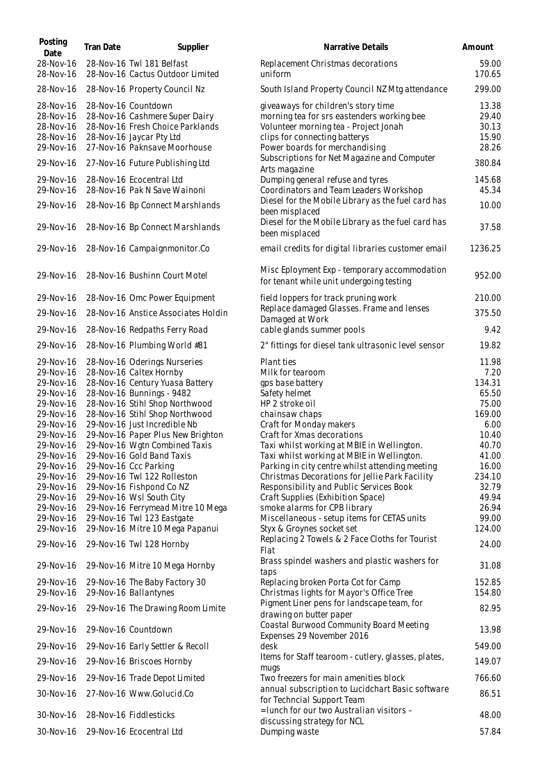| Posting<br>Date                                                                                                                                                                                                                                                               | Tran Date | Supplier                                                                                                                                                                                                                                                                                                                                                                                                                                                                                                                                                                                                                                                                     | Narrative Details                                                                                                                                                                                                                                                                                                                                                                                                                                                                                                                                                                                                                                                                                                                                                           | Amount                                                                                                                                                                                        |
|-------------------------------------------------------------------------------------------------------------------------------------------------------------------------------------------------------------------------------------------------------------------------------|-----------|------------------------------------------------------------------------------------------------------------------------------------------------------------------------------------------------------------------------------------------------------------------------------------------------------------------------------------------------------------------------------------------------------------------------------------------------------------------------------------------------------------------------------------------------------------------------------------------------------------------------------------------------------------------------------|-----------------------------------------------------------------------------------------------------------------------------------------------------------------------------------------------------------------------------------------------------------------------------------------------------------------------------------------------------------------------------------------------------------------------------------------------------------------------------------------------------------------------------------------------------------------------------------------------------------------------------------------------------------------------------------------------------------------------------------------------------------------------------|-----------------------------------------------------------------------------------------------------------------------------------------------------------------------------------------------|
| 28-Nov-16<br>28-Nov-16                                                                                                                                                                                                                                                        |           | 28-Nov-16 Twl 181 Belfast<br>28-Nov-16 Cactus Outdoor Limited                                                                                                                                                                                                                                                                                                                                                                                                                                                                                                                                                                                                                | Replacement Christmas decorations<br>uniform                                                                                                                                                                                                                                                                                                                                                                                                                                                                                                                                                                                                                                                                                                                                | 59.00<br>170.65                                                                                                                                                                               |
| 28-Nov-16                                                                                                                                                                                                                                                                     |           | 28-Nov-16 Property Council Nz                                                                                                                                                                                                                                                                                                                                                                                                                                                                                                                                                                                                                                                | South Island Property Council NZ Mtg attendance                                                                                                                                                                                                                                                                                                                                                                                                                                                                                                                                                                                                                                                                                                                             | 299.00                                                                                                                                                                                        |
| 28-Nov-16<br>28-Nov-16<br>28-Nov-16<br>28-Nov-16<br>29-Nov-16                                                                                                                                                                                                                 |           | 28-Nov-16 Countdown<br>28-Nov-16 Cashmere Super Dairy<br>28-Nov-16 Fresh Choice Parklands<br>28-Nov-16 Jaycar Pty Ltd<br>27-Nov-16 Paknsave Moorhouse                                                                                                                                                                                                                                                                                                                                                                                                                                                                                                                        | giveaways for children's story time<br>morning tea for srs eastenders working bee<br>Volunteer morning tea - Project Jonah<br>clips for connecting batterys<br>Power boards for merchandising                                                                                                                                                                                                                                                                                                                                                                                                                                                                                                                                                                               | 13.38<br>29.40<br>30.13<br>15.90<br>28.26                                                                                                                                                     |
| 29-Nov-16                                                                                                                                                                                                                                                                     |           | 27-Nov-16 Future Publishing Ltd                                                                                                                                                                                                                                                                                                                                                                                                                                                                                                                                                                                                                                              | Subscriptions for Net Magazine and Computer<br>Arts magazine                                                                                                                                                                                                                                                                                                                                                                                                                                                                                                                                                                                                                                                                                                                | 380.84                                                                                                                                                                                        |
| 29-Nov-16<br>29-Nov-16                                                                                                                                                                                                                                                        |           | 28-Nov-16 Ecocentral Ltd<br>28-Nov-16 Pak N Save Wainoni                                                                                                                                                                                                                                                                                                                                                                                                                                                                                                                                                                                                                     | Dumping general refuse and tyres<br>Coordinators and Team Leaders Workshop                                                                                                                                                                                                                                                                                                                                                                                                                                                                                                                                                                                                                                                                                                  | 145.68<br>45.34                                                                                                                                                                               |
| 29-Nov-16                                                                                                                                                                                                                                                                     |           | 28-Nov-16 Bp Connect Marshlands                                                                                                                                                                                                                                                                                                                                                                                                                                                                                                                                                                                                                                              | Diesel for the Mobile Library as the fuel card has<br>been misplaced                                                                                                                                                                                                                                                                                                                                                                                                                                                                                                                                                                                                                                                                                                        | 10.00                                                                                                                                                                                         |
| 29-Nov-16                                                                                                                                                                                                                                                                     |           | 28-Nov-16 Bp Connect Marshlands                                                                                                                                                                                                                                                                                                                                                                                                                                                                                                                                                                                                                                              | Diesel for the Mobile Library as the fuel card has<br>been misplaced                                                                                                                                                                                                                                                                                                                                                                                                                                                                                                                                                                                                                                                                                                        | 37.58                                                                                                                                                                                         |
| 29-Nov-16                                                                                                                                                                                                                                                                     |           | 28-Nov-16 Campaignmonitor.Co                                                                                                                                                                                                                                                                                                                                                                                                                                                                                                                                                                                                                                                 | email credits for digital libraries customer email                                                                                                                                                                                                                                                                                                                                                                                                                                                                                                                                                                                                                                                                                                                          | 1236.25                                                                                                                                                                                       |
| 29-Nov-16                                                                                                                                                                                                                                                                     |           | 28-Nov-16 Bushinn Court Motel                                                                                                                                                                                                                                                                                                                                                                                                                                                                                                                                                                                                                                                | Misc Eployment Exp - temporary accommodation<br>for tenant while unit undergoing testing                                                                                                                                                                                                                                                                                                                                                                                                                                                                                                                                                                                                                                                                                    | 952.00                                                                                                                                                                                        |
| 29-Nov-16                                                                                                                                                                                                                                                                     |           | 28-Nov-16 Omc Power Equipment                                                                                                                                                                                                                                                                                                                                                                                                                                                                                                                                                                                                                                                | field loppers for track pruning work                                                                                                                                                                                                                                                                                                                                                                                                                                                                                                                                                                                                                                                                                                                                        | 210.00                                                                                                                                                                                        |
| 29-Nov-16                                                                                                                                                                                                                                                                     |           | 28-Nov-16 Anstice Associates Holdin                                                                                                                                                                                                                                                                                                                                                                                                                                                                                                                                                                                                                                          | Replace damaged Glasses. Frame and lenses<br>Damaged at Work                                                                                                                                                                                                                                                                                                                                                                                                                                                                                                                                                                                                                                                                                                                | 375.50                                                                                                                                                                                        |
| 29-Nov-16                                                                                                                                                                                                                                                                     |           | 28-Nov-16 Redpaths Ferry Road                                                                                                                                                                                                                                                                                                                                                                                                                                                                                                                                                                                                                                                | cable glands summer pools                                                                                                                                                                                                                                                                                                                                                                                                                                                                                                                                                                                                                                                                                                                                                   | 9.42                                                                                                                                                                                          |
| 29-Nov-16                                                                                                                                                                                                                                                                     |           | 28-Nov-16 Plumbing World #81                                                                                                                                                                                                                                                                                                                                                                                                                                                                                                                                                                                                                                                 | 2" fittings for diesel tank ultrasonic level sensor                                                                                                                                                                                                                                                                                                                                                                                                                                                                                                                                                                                                                                                                                                                         | 19.82                                                                                                                                                                                         |
| 29-Nov-16<br>29-Nov-16<br>29-Nov-16<br>29-Nov-16<br>29-Nov-16<br>29-Nov-16<br>29-Nov-16<br>29-Nov-16<br>29-Nov-16<br>29-Nov-16<br>29-Nov-16<br>29-Nov-16<br>29-Nov-16<br>29-Nov-16<br>29-Nov-16<br>29-Nov-16<br>29-Nov-16<br>29-Nov-16<br>29-Nov-16<br>29-Nov-16<br>29-Nov-16 |           | 28-Nov-16 Oderings Nurseries<br>28-Nov-16 Caltex Hornby<br>28-Nov-16 Century Yuasa Battery<br>28-Nov-16 Bunnings - 9482<br>28-Nov-16 Stihl Shop Northwood<br>28-Nov-16 Stihl Shop Northwood<br>29-Nov-16 Just Incredible Nb<br>29-Nov-16 Paper Plus New Brighton<br>29-Nov-16 Wgtn Combined Taxis<br>29-Nov-16 Gold Band Taxis<br>29-Nov-16 Ccc Parking<br>29-Nov-16 Twl 122 Rolleston<br>29-Nov-16 Fishpond Co NZ<br>29-Nov-16 Wsl South City<br>29-Nov-16 Ferrymead Mitre 10 Mega<br>29-Nov-16 Twl 123 Eastgate<br>29-Nov-16 Mitre 10 Mega Papanui<br>29-Nov-16 Twl 128 Hornby<br>29-Nov-16 Mitre 10 Mega Hornby<br>29-Nov-16 The Baby Factory 30<br>29-Nov-16 Ballantynes | <b>Plant ties</b><br>Milk for tearoom<br>gps base battery<br>Safety helmet<br>HP 2 stroke oil<br>chainsaw chaps<br>Craft for Monday makers<br>Craft for Xmas decorations<br>Taxi whilst working at MBIE in Wellington.<br>Taxi whilst working at MBIE in Wellington.<br>Parking in city centre whilst attending meeting<br>Christmas Decorations for Jellie Park Facility<br>Responsibility and Public Services Book<br>Craft Supplies (Exhibition Space)<br>smoke alarms for CPB library<br>Miscellaneous - setup items for CETAS units<br>Styx & Groynes socket set<br>Replacing 2 Towels & 2 Face Cloths for Tourist<br>Flat<br>Brass spindel washers and plastic washers for<br>taps<br>Replacing broken Porta Cot for Camp<br>Christmas lights for Mayor's Office Tree | 11.98<br>7.20<br>134.31<br>65.50<br>75.00<br>169.00<br>6.00<br>10.40<br>40.70<br>41.00<br>16.00<br>234.10<br>32.79<br>49.94<br>26.94<br>99.00<br>124.00<br>24.00<br>31.08<br>152.85<br>154.80 |
| 29-Nov-16                                                                                                                                                                                                                                                                     |           | 29-Nov-16 The Drawing Room Limite                                                                                                                                                                                                                                                                                                                                                                                                                                                                                                                                                                                                                                            | Pigment Liner pens for landscape team, for                                                                                                                                                                                                                                                                                                                                                                                                                                                                                                                                                                                                                                                                                                                                  | 82.95                                                                                                                                                                                         |
| 29-Nov-16                                                                                                                                                                                                                                                                     |           | 29-Nov-16 Countdown                                                                                                                                                                                                                                                                                                                                                                                                                                                                                                                                                                                                                                                          | drawing on butter paper<br>Coastal Burwood Community Board Meeting<br>Expenses 29 November 2016                                                                                                                                                                                                                                                                                                                                                                                                                                                                                                                                                                                                                                                                             | 13.98                                                                                                                                                                                         |
| 29-Nov-16                                                                                                                                                                                                                                                                     |           | 29-Nov-16 Early Settler & Recoll                                                                                                                                                                                                                                                                                                                                                                                                                                                                                                                                                                                                                                             | desk<br>Items for Staff tearoom - cutlery, glasses, plates,                                                                                                                                                                                                                                                                                                                                                                                                                                                                                                                                                                                                                                                                                                                 | 549.00                                                                                                                                                                                        |
| 29-Nov-16                                                                                                                                                                                                                                                                     |           | 29-Nov-16 Briscoes Hornby                                                                                                                                                                                                                                                                                                                                                                                                                                                                                                                                                                                                                                                    | mugs                                                                                                                                                                                                                                                                                                                                                                                                                                                                                                                                                                                                                                                                                                                                                                        | 149.07                                                                                                                                                                                        |
| 29-Nov-16<br>30-Nov-16                                                                                                                                                                                                                                                        |           | 29-Nov-16 Trade Depot Limited<br>27-Nov-16 Www.Golucid.Co                                                                                                                                                                                                                                                                                                                                                                                                                                                                                                                                                                                                                    | Two freezers for main amenities block<br>annual subscription to Lucidchart Basic software                                                                                                                                                                                                                                                                                                                                                                                                                                                                                                                                                                                                                                                                                   | 766.60<br>86.51                                                                                                                                                                               |
|                                                                                                                                                                                                                                                                               |           |                                                                                                                                                                                                                                                                                                                                                                                                                                                                                                                                                                                                                                                                              | for Techncial Support Team<br>= lunch for our two Australian visitors -                                                                                                                                                                                                                                                                                                                                                                                                                                                                                                                                                                                                                                                                                                     |                                                                                                                                                                                               |
| 30-Nov-16                                                                                                                                                                                                                                                                     |           | 28-Nov-16 Fiddlesticks                                                                                                                                                                                                                                                                                                                                                                                                                                                                                                                                                                                                                                                       | discussing strategy for NCL                                                                                                                                                                                                                                                                                                                                                                                                                                                                                                                                                                                                                                                                                                                                                 | 48.00                                                                                                                                                                                         |
| 30-Nov-16                                                                                                                                                                                                                                                                     |           | 29-Nov-16 Ecocentral Ltd                                                                                                                                                                                                                                                                                                                                                                                                                                                                                                                                                                                                                                                     | Dumping waste                                                                                                                                                                                                                                                                                                                                                                                                                                                                                                                                                                                                                                                                                                                                                               | 57.84                                                                                                                                                                                         |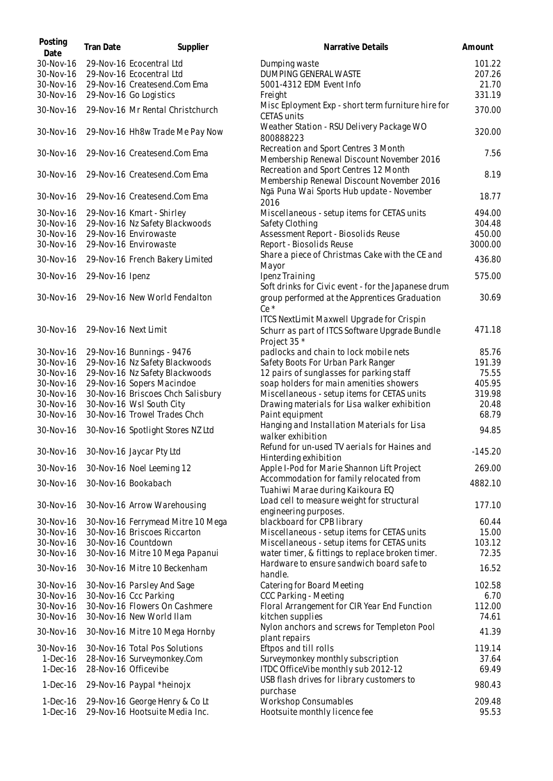| Posting<br>Date          | Tran Date            | Supplier                                                         | Narrative Details                                                                                            | Amount          |
|--------------------------|----------------------|------------------------------------------------------------------|--------------------------------------------------------------------------------------------------------------|-----------------|
| 30-Nov-16                |                      | 29-Nov-16 Ecocentral Ltd                                         | Dumping waste                                                                                                | 101.22          |
| 30-Nov-16                |                      | 29-Nov-16 Ecocentral Ltd                                         | DUMPING GENERAL WASTE                                                                                        | 207.26          |
| 30-Nov-16                |                      | 29-Nov-16 Createsend.Com Ema                                     | 5001-4312 EDM Event Info                                                                                     | 21.70           |
| 30-Nov-16                |                      | 29-Nov-16 Go Logistics                                           | Freight                                                                                                      | 331.19          |
| 30-Nov-16                |                      | 29-Nov-16 Mr Rental Christchurch                                 | Misc Eployment Exp - short term furniture hire for<br><b>CETAS units</b>                                     | 370.00          |
| 30-Nov-16                |                      | 29-Nov-16 Hh8w Trade Me Pay Now                                  | Weather Station - RSU Delivery Package WO<br>800888223                                                       | 320.00          |
| 30-Nov-16                |                      | 29-Nov-16 Createsend.Com Ema                                     | Recreation and Sport Centres 3 Month<br>Membership Renewal Discount November 2016                            | 7.56            |
| 30-Nov-16                |                      | 29-Nov-16 Createsend.Com Ema                                     | Recreation and Sport Centres 12 Month<br>Membership Renewal Discount November 2016                           | 8.19            |
| 30-Nov-16                |                      | 29-Nov-16 Createsend.Com Ema                                     | Ngā Puna Wai Sports Hub update - November<br>2016                                                            | 18.77           |
| 30-Nov-16                |                      | 29-Nov-16 Kmart - Shirley                                        | Miscellaneous - setup items for CETAS units                                                                  | 494.00          |
| 30-Nov-16                |                      | 29-Nov-16 Nz Safety Blackwoods                                   | Safety Clothing                                                                                              | 304.48          |
| 30-Nov-16                |                      | 29-Nov-16 Envirowaste                                            | Assessment Report - Biosolids Reuse                                                                          | 450.00          |
| 30-Nov-16                |                      | 29-Nov-16 Envirowaste                                            | Report - Biosolids Reuse                                                                                     | 3000.00         |
| 30-Nov-16                |                      | 29-Nov-16 French Bakery Limited                                  | Share a piece of Christmas Cake with the CE and<br>Mayor                                                     | 436.80          |
| 30-Nov-16                | 29-Nov-16 Ipenz      |                                                                  | Ipenz Training                                                                                               | 575.00          |
|                          |                      |                                                                  | Soft drinks for Civic event - for the Japanese drum                                                          |                 |
| 30-Nov-16                |                      | 29-Nov-16 New World Fendalton                                    | group performed at the Apprentices Graduation<br>Ce <sup>*</sup>                                             | 30.69           |
| 30-Nov-16                | 29-Nov-16 Next Limit |                                                                  | ITCS NextLimit Maxwell Upgrade for Crispin<br>Schurr as part of ITCS Software Upgrade Bundle<br>Project 35 * | 471.18          |
| 30-Nov-16                |                      | 29-Nov-16 Bunnings - 9476                                        | padlocks and chain to lock mobile nets                                                                       | 85.76           |
| 30-Nov-16                |                      | 29-Nov-16 Nz Safety Blackwoods                                   | Safety Boots For Urban Park Ranger                                                                           | 191.39          |
| 30-Nov-16                |                      | 29-Nov-16 Nz Safety Blackwoods                                   | 12 pairs of sunglasses for parking staff                                                                     | 75.55           |
| 30-Nov-16                |                      | 29-Nov-16 Sopers Macindoe                                        | soap holders for main amenities showers                                                                      | 405.95          |
| 30-Nov-16                |                      | 30-Nov-16 Briscoes Chch Salisbury                                | Miscellaneous - setup items for CETAS units                                                                  | 319.98          |
| 30-Nov-16                |                      | 30-Nov-16 Wsl South City                                         | Drawing materials for Lisa walker exhibition                                                                 | 20.48           |
| 30-Nov-16                |                      | 30-Nov-16 Trowel Trades Chch                                     | Paint equipment                                                                                              | 68.79           |
| 30-Nov-16                |                      | 30-Nov-16 Spotlight Stores NZ Ltd                                | Hanging and Installation Materials for Lisa<br>walker exhibition                                             | 94.85           |
|                          |                      | 30-Nov-16 30-Nov-16 Jaycar Pty Ltd                               | Refund for un-used TV aerials for Haines and<br>Hinterding exhibition                                        | $-145.20$       |
| 30-Nov-16                |                      | 30-Nov-16 Noel Leeming 12                                        | Apple I-Pod for Marie Shannon Lift Project                                                                   | 269.00          |
| 30-Nov-16                |                      | 30-Nov-16 Bookabach                                              | Accommodation for family relocated from                                                                      | 4882.10         |
| 30-Nov-16                |                      | 30-Nov-16 Arrow Warehousing                                      | Tuahiwi Marae during Kaikoura EQ<br>Load cell to measure weight for structural                               | 177.10          |
|                          |                      |                                                                  | engineering purposes.                                                                                        |                 |
| 30-Nov-16                |                      | 30-Nov-16 Ferrymead Mitre 10 Mega                                | blackboard for CPB library                                                                                   | 60.44           |
| 30-Nov-16<br>30-Nov-16   |                      | 30-Nov-16 Briscoes Riccarton<br>30-Nov-16 Countdown              | Miscellaneous - setup items for CETAS units<br>Miscellaneous - setup items for CETAS units                   | 15.00<br>103.12 |
| 30-Nov-16                |                      | 30-Nov-16 Mitre 10 Mega Papanui                                  | water timer, & fittings to replace broken timer.                                                             | 72.35           |
| 30-Nov-16                |                      | 30-Nov-16 Mitre 10 Beckenham                                     | Hardware to ensure sandwich board safe to<br>handle.                                                         | 16.52           |
| 30-Nov-16                |                      | 30-Nov-16 Parsley And Sage                                       | Catering for Board Meeting                                                                                   | 102.58          |
| 30-Nov-16                |                      | 30-Nov-16 Ccc Parking                                            | CCC Parking - Meeting                                                                                        | 6.70            |
| 30-Nov-16                |                      | 30-Nov-16 Flowers On Cashmere                                    | Floral Arrangement for CIR Year End Function                                                                 | 112.00          |
| 30-Nov-16                |                      | 30-Nov-16 New World Ilam                                         | kitchen supplies                                                                                             | 74.61           |
| 30-Nov-16                |                      | 30-Nov-16 Mitre 10 Mega Hornby                                   | Nylon anchors and screws for Templeton Pool<br>plant repairs                                                 | 41.39           |
| 30-Nov-16                |                      | 30-Nov-16 Total Pos Solutions                                    | Eftpos and till rolls                                                                                        | 119.14          |
| $1-Dec-16$               |                      | 28-Nov-16 Surveymonkey.Com                                       | Surveymonkey monthly subscription                                                                            | 37.64           |
| $1-Dec-16$               |                      | 28-Nov-16 Officevibe                                             | ITDC OfficeVibe monthly sub 2012-12                                                                          | 69.49           |
| $1-Dec-16$               |                      | 29-Nov-16 Paypal *heinojx                                        | USB flash drives for library customers to<br>purchase                                                        | 980.43          |
| $1-Dec-16$<br>$1-Dec-16$ |                      | 29-Nov-16 George Henry & Co Lt<br>29-Nov-16 Hootsuite Media Inc. | <b>Workshop Consumables</b><br>Hootsuite monthly licence fee                                                 | 209.48<br>95.53 |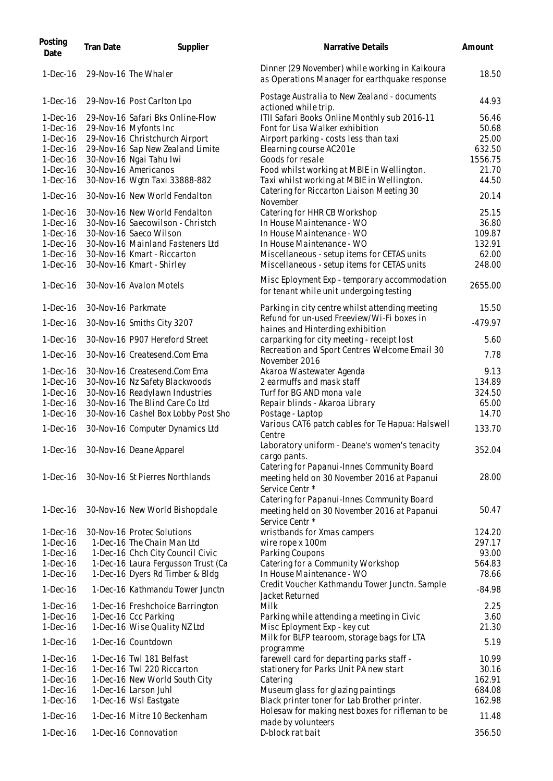| Posting<br>Date | Tran Date          | Supplier                            | Narrative Details                                                                                            | Amount   |
|-----------------|--------------------|-------------------------------------|--------------------------------------------------------------------------------------------------------------|----------|
| $1-Dec-16$      |                    | 29-Nov-16 The Whaler                | Dinner (29 November) while working in Kaikoura<br>as Operations Manager for earthquake response              | 18.50    |
| $1-Dec-16$      |                    | 29-Nov-16 Post Carlton Lpo          | Postage Australia to New Zealand - documents<br>actioned while trip.                                         | 44.93    |
| $1-Dec-16$      |                    | 29-Nov-16 Safari Bks Online-Flow    | ITII Safari Books Online Monthly sub 2016-11                                                                 | 56.46    |
| $1-Dec-16$      |                    | 29-Nov-16 Myfonts Inc               | Font for Lisa Walker exhibition                                                                              | 50.68    |
| $1-Dec-16$      |                    | 29-Nov-16 Christchurch Airport      | Airport parking - costs less than taxi                                                                       | 25.00    |
| $1-Dec-16$      |                    | 29-Nov-16 Sap New Zealand Limite    | Elearning course AC201e                                                                                      | 632.50   |
| $1-Dec-16$      |                    | 30-Nov-16 Ngai Tahu Iwi             | Goods for resale                                                                                             | 1556.75  |
| $1-Dec-16$      |                    | 30-Nov-16 Americanos                | Food whilst working at MBIE in Wellington.                                                                   | 21.70    |
| $1-Dec-16$      |                    | 30-Nov-16 Wgtn Taxi 33888-882       | Taxi whilst working at MBIE in Wellington.                                                                   | 44.50    |
| $1-Dec-16$      |                    | 30-Nov-16 New World Fendalton       | Catering for Riccarton Liaison Meeting 30<br>November                                                        | 20.14    |
| $1-Dec-16$      |                    | 30-Nov-16 New World Fendalton       | Catering for HHR CB Workshop                                                                                 | 25.15    |
| $1-Dec-16$      |                    | 30-Nov-16 Saecowilson - Christch    | In House Maintenance - WO                                                                                    | 36.80    |
| $1-Dec-16$      |                    | 30-Nov-16 Saeco Wilson              | In House Maintenance - WO                                                                                    | 109.87   |
| $1-Dec-16$      |                    | 30-Nov-16 Mainland Fasteners Ltd    | In House Maintenance - WO                                                                                    | 132.91   |
| $1-Dec-16$      |                    | 30-Nov-16 Kmart - Riccarton         | Miscellaneous - setup items for CETAS units                                                                  | 62.00    |
| $1-Dec-16$      |                    | 30-Nov-16 Kmart - Shirley           | Miscellaneous - setup items for CETAS units                                                                  | 248.00   |
|                 |                    |                                     | Misc Eployment Exp - temporary accommodation                                                                 |          |
| $1-Dec-16$      |                    | 30-Nov-16 Avalon Motels             | for tenant while unit undergoing testing                                                                     | 2655.00  |
| $1-Dec-16$      | 30-Nov-16 Parkmate |                                     | Parking in city centre whilst attending meeting                                                              | 15.50    |
| $1-Dec-16$      |                    | 30-Nov-16 Smiths City 3207          | Refund for un-used Freeview/Wi-Fi boxes in<br>haines and Hinterding exhibition                               | -479.97  |
| $1-Dec-16$      |                    | 30-Nov-16 P907 Hereford Street      | carparking for city meeting - receipt lost                                                                   | 5.60     |
| $1-Dec-16$      |                    | 30-Nov-16 Createsend.Com Ema        | Recreation and Sport Centres Welcome Email 30<br>November 2016                                               | 7.78     |
| $1-Dec-16$      |                    | 30-Nov-16 Createsend.Com Ema        | Akaroa Wastewater Agenda                                                                                     | 9.13     |
| $1-Dec-16$      |                    | 30-Nov-16 Nz Safety Blackwoods      | 2 earmuffs and mask staff                                                                                    | 134.89   |
| $1-Dec-16$      |                    | 30-Nov-16 Readylawn Industries      | Turf for BG AND mona vale                                                                                    | 324.50   |
| $1-Dec-16$      |                    | 30-Nov-16 The Blind Care Co Ltd     | Repair blinds - Akaroa Library                                                                               | 65.00    |
| $1-Dec-16$      |                    | 30-Nov-16 Cashel Box Lobby Post Sho | Postage - Laptop                                                                                             | 14.70    |
| $1-Dec-16$      |                    | 30-Nov-16 Computer Dynamics Ltd     | Various CAT6 patch cables for Te Hapua: Halswell<br>Centre                                                   | 133.70   |
|                 |                    | 1-Dec-16 30-Nov-16 Deane Apparel    | Laboratory uniform - Deane's women's tenacity                                                                | 352.04   |
|                 |                    |                                     | cargo pants.                                                                                                 |          |
| $1-Dec-16$      |                    | 30-Nov-16 St Pierres Northlands     | Catering for Papanui-Innes Community Board<br>meeting held on 30 November 2016 at Papanui<br>Service Centr * | 28.00    |
|                 |                    |                                     | Catering for Papanui-Innes Community Board                                                                   |          |
| $1-Dec-16$      |                    | 30-Nov-16 New World Bishopdale      | meeting held on 30 November 2016 at Papanui<br>Service Centr *                                               | 50.47    |
| $1-Dec-16$      |                    | 30-Nov-16 Protec Solutions          | wristbands for Xmas campers                                                                                  | 124.20   |
| $1-Dec-16$      |                    | 1-Dec-16 The Chain Man Ltd          | wire rope x 100m                                                                                             | 297.17   |
| $1-Dec-16$      |                    | 1-Dec-16 Chch City Council Civic    | Parking Coupons                                                                                              | 93.00    |
| $1-Dec-16$      |                    | 1-Dec-16 Laura Fergusson Trust (Ca  | Catering for a Community Workshop                                                                            | 564.83   |
| $1-Dec-16$      |                    | 1-Dec-16 Dyers Rd Timber & Bldg     | In House Maintenance - WO                                                                                    | 78.66    |
| $1-Dec-16$      |                    | 1-Dec-16 Kathmandu Tower Junctn     | Credit Voucher Kathmandu Tower Junctn. Sample<br>Jacket Returned                                             | $-84.98$ |
| $1-Dec-16$      |                    | 1-Dec-16 Freshchoice Barrington     | Milk                                                                                                         | 2.25     |
| $1-Dec-16$      |                    | 1-Dec-16 Ccc Parking                | Parking while attending a meeting in Civic                                                                   | 3.60     |
| $1-Dec-16$      |                    | 1-Dec-16 Wise Quality NZ Ltd        | Misc Eployment Exp - key cut                                                                                 | 21.30    |
| 1-Dec-16        |                    | 1-Dec-16 Countdown                  | Milk for BLFP tearoom, storage bags for LTA                                                                  | 5.19     |
| $1-Dec-16$      |                    | 1-Dec-16 Twl 181 Belfast            | programme<br>farewell card for departing parks staff -                                                       | 10.99    |
| $1-Dec-16$      |                    | 1-Dec-16 Twl 220 Riccarton          | stationery for Parks Unit PA new start                                                                       | 30.16    |
| $1-Dec-16$      |                    | 1-Dec-16 New World South City       | Catering                                                                                                     | 162.91   |
| $1-Dec-16$      |                    | 1-Dec-16 Larson Juhl                | Museum glass for glazing paintings                                                                           | 684.08   |
| $1-Dec-16$      |                    | 1-Dec-16 Wsl Eastgate               | Black printer toner for Lab Brother printer.                                                                 | 162.98   |
| $1-Dec-16$      |                    | 1-Dec-16 Mitre 10 Beckenham         | Holesaw for making nest boxes for rifleman to be                                                             | 11.48    |
|                 |                    |                                     | made by volunteers                                                                                           |          |
| $1-Dec-16$      |                    | 1-Dec-16 Connovation                | D-block rat bait                                                                                             | 356.50   |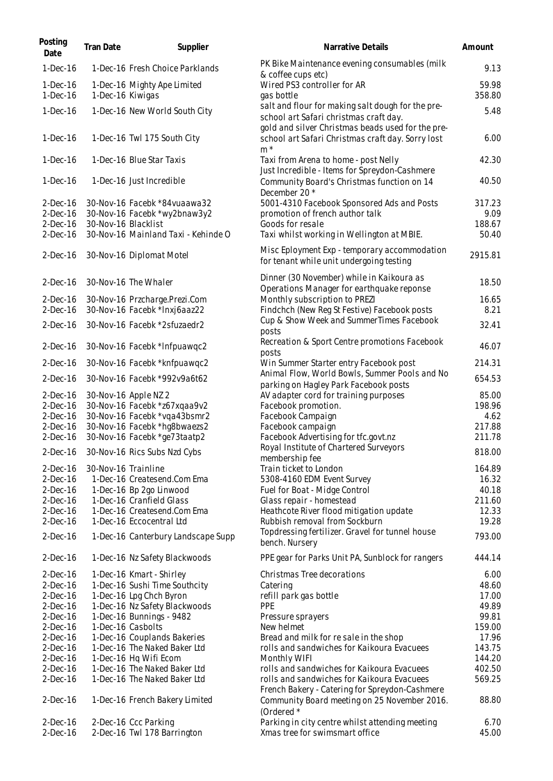| Posting<br>Date                                      | Tran Date           | Supplier                                                                                            | Narrative Details                                                                                                                                                | Amount                            |
|------------------------------------------------------|---------------------|-----------------------------------------------------------------------------------------------------|------------------------------------------------------------------------------------------------------------------------------------------------------------------|-----------------------------------|
| $1-Dec-16$                                           |                     | 1-Dec-16 Fresh Choice Parklands                                                                     | PK Bike Maintenance evening consumables (milk<br>& coffee cups etc)                                                                                              | 9.13                              |
| $1-Dec-16$<br>$1-Dec-16$                             | 1-Dec-16 Kiwigas    | 1-Dec-16 Mighty Ape Limited                                                                         | Wired PS3 controller for AR<br>gas bottle                                                                                                                        | 59.98<br>358.80                   |
| $1-Dec-16$                                           |                     | 1-Dec-16 New World South City                                                                       | salt and flour for making salt dough for the pre-                                                                                                                | 5.48                              |
| $1-Dec-16$                                           |                     | 1-Dec-16 Twl 175 South City                                                                         | school art Safari christmas craft day.<br>gold and silver Christmas beads used for the pre-<br>school art Safari Christmas craft day. Sorry lost                 | 6.00                              |
| $1-Dec-16$                                           |                     | 1-Dec-16 Blue Star Taxis                                                                            | $m^*$<br>Taxi from Arena to home - post Nelly                                                                                                                    | 42.30                             |
| 1-Dec-16                                             |                     | 1-Dec-16 Just Incredible                                                                            | Just Incredible - Items for Spreydon-Cashmere<br>Community Board's Christmas function on 14                                                                      | 40.50                             |
| $2-Dec-16$<br>$2-Dec-16$<br>$2-Dec-16$<br>$2-Dec-16$ | 30-Nov-16 Blacklist | 30-Nov-16 Facebk *84vuaawa32<br>30-Nov-16 Facebk *wy2bnaw3y2<br>30-Nov-16 Mainland Taxi - Kehinde O | December 20 *<br>5001-4310 Facebook Sponsored Ads and Posts<br>promotion of french author talk<br>Goods for resale<br>Taxi whilst working in Wellington at MBIE. | 317.23<br>9.09<br>188.67<br>50.40 |
| $2-Dec-16$                                           |                     | 30-Nov-16 Diplomat Motel                                                                            | Misc Eployment Exp - temporary accommodation<br>for tenant while unit undergoing testing                                                                         | 2915.81                           |
| $2-Dec-16$                                           |                     | 30-Nov-16 The Whaler                                                                                | Dinner (30 November) while in Kaikoura as<br>Operations Manager for earthquake reponse                                                                           | 18.50                             |
| $2-Dec-16$<br>$2-Dec-16$                             |                     | 30-Nov-16 Przcharge.Prezi.Com<br>30-Nov-16 Facebk *Inxj6aaz22                                       | Monthly subscription to PREZI<br>Findchch (New Reg St Festive) Facebook posts                                                                                    | 16.65<br>8.21                     |
| $2-Dec-16$                                           |                     | 30-Nov-16 Facebk *2sfuzaedr2                                                                        | Cup & Show Week and SummerTimes Facebook<br>posts                                                                                                                | 32.41                             |
| $2$ -Dec-16                                          |                     | 30-Nov-16 Facebk *Infpuawqc2                                                                        | Recreation & Sport Centre promotions Facebook<br>posts                                                                                                           | 46.07                             |
| $2-Dec-16$                                           |                     | 30-Nov-16 Facebk *knfpuawqc2                                                                        | Win Summer Starter entry Facebook post                                                                                                                           | 214.31                            |
| $2-Dec-16$                                           |                     | 30-Nov-16 Facebk *992v9a6t62                                                                        | Animal Flow, World Bowls, Summer Pools and No<br>parking on Hagley Park Facebook posts                                                                           | 654.53                            |
| $2-Dec-16$                                           |                     | 30-Nov-16 Apple NZ 2                                                                                | AV adapter cord for training purposes                                                                                                                            | 85.00                             |
| $2$ -Dec-16                                          |                     | 30-Nov-16 Facebk *z67xqaa9v2                                                                        | Facebook promotion.                                                                                                                                              | 198.96                            |
| $2-Dec-16$                                           |                     | 30-Nov-16 Facebk *vqa43bsmr2                                                                        | Facebook Campaign                                                                                                                                                | 4.62                              |
| $2$ -Dec-16                                          |                     | 30-Nov-16 Facebk *hg8bwaezs2                                                                        | Facebook campaign                                                                                                                                                | 217.88                            |
| $2$ -Dec-16                                          |                     | 30-Nov-16 Facebk *ge73taatp2                                                                        | Facebook Advertising for tfc.govt.nz                                                                                                                             | 211.78                            |
| $2-Dec-16$                                           |                     | 30-Nov-16 Rics Subs Nzd Cybs                                                                        | Royal Institute of Chartered Surveyors<br>membership fee                                                                                                         | 818.00                            |
| $2-Dec-16$                                           | 30-Nov-16 Trainline |                                                                                                     | Train ticket to London                                                                                                                                           | 164.89                            |
| $2$ -Dec-16                                          |                     | 1-Dec-16 Createsend.Com Ema                                                                         | 5308-4160 EDM Event Survey                                                                                                                                       | 16.32                             |
| $2-Dec-16$                                           |                     | 1-Dec-16 Bp 2go Linwood                                                                             | Fuel for Boat - Midge Control                                                                                                                                    | 40.18                             |
| $2-Dec-16$                                           |                     | 1-Dec-16 Cranfield Glass                                                                            | Glass repair - homestead                                                                                                                                         | 211.60                            |
| $2-Dec-16$                                           |                     | 1-Dec-16 Createsend.Com Ema                                                                         | Heathcote River flood mitigation update                                                                                                                          | 12.33                             |
| $2-Dec-16$                                           |                     | 1-Dec-16 Eccocentral Ltd                                                                            | Rubbish removal from Sockburn                                                                                                                                    | 19.28                             |
| $2-Dec-16$                                           |                     | 1-Dec-16 Canterbury Landscape Supp                                                                  | Topdressing fertilizer. Gravel for tunnel house<br>bench. Nursery                                                                                                | 793.00                            |
| $2-Dec-16$                                           |                     | 1-Dec-16 Nz Safety Blackwoods                                                                       | PPE gear for Parks Unit PA, Sunblock for rangers                                                                                                                 | 444.14                            |
| $2-Dec-16$                                           |                     | 1-Dec-16 Kmart - Shirley                                                                            | Christmas Tree decorations                                                                                                                                       | 6.00                              |
| $2$ -Dec-16                                          |                     | 1-Dec-16 Sushi Time Southcity                                                                       | Catering                                                                                                                                                         | 48.60                             |
| $2$ -Dec-16                                          |                     | 1-Dec-16 Lpg Chch Byron                                                                             | refill park gas bottle                                                                                                                                           | 17.00                             |
| $2-Dec-16$                                           |                     | 1-Dec-16 Nz Safety Blackwoods                                                                       | <b>PPE</b>                                                                                                                                                       | 49.89                             |
| $2-Dec-16$                                           |                     | 1-Dec-16 Bunnings - 9482                                                                            | Pressure sprayers                                                                                                                                                | 99.81                             |
| $2$ -Dec-16                                          |                     | 1-Dec-16 Casbolts                                                                                   | New helmet                                                                                                                                                       | 159.00                            |
| $2$ -Dec-16                                          |                     | 1-Dec-16 Couplands Bakeries                                                                         | Bread and milk for re sale in the shop                                                                                                                           | 17.96                             |
| $2-Dec-16$                                           |                     | 1-Dec-16 The Naked Baker Ltd                                                                        | rolls and sandwiches for Kaikoura Evacuees                                                                                                                       | 143.75                            |
| $2-Dec-16$                                           |                     | 1-Dec-16 Hq Wifi Ecom                                                                               | Monthly WIFI                                                                                                                                                     | 144.20                            |
| $2$ -Dec-16                                          |                     | 1-Dec-16 The Naked Baker Ltd                                                                        | rolls and sandwiches for Kaikoura Evacuees                                                                                                                       | 402.50                            |
| $2-Dec-16$                                           |                     | 1-Dec-16 The Naked Baker Ltd                                                                        | rolls and sandwiches for Kaikoura Evacuees<br>French Bakery - Catering for Spreydon-Cashmere                                                                     | 569.25                            |
| $2-Dec-16$                                           |                     | 1-Dec-16 French Bakery Limited                                                                      | Community Board meeting on 25 November 2016.<br>(Ordered *                                                                                                       | 88.80                             |
| $2-Dec-16$                                           |                     | 2-Dec-16 Ccc Parking                                                                                | Parking in city centre whilst attending meeting                                                                                                                  | 6.70                              |
| $2-Dec-16$                                           |                     | 2-Dec-16 Twl 178 Barrington                                                                         | Xmas tree for swimsmart office                                                                                                                                   | 45.00                             |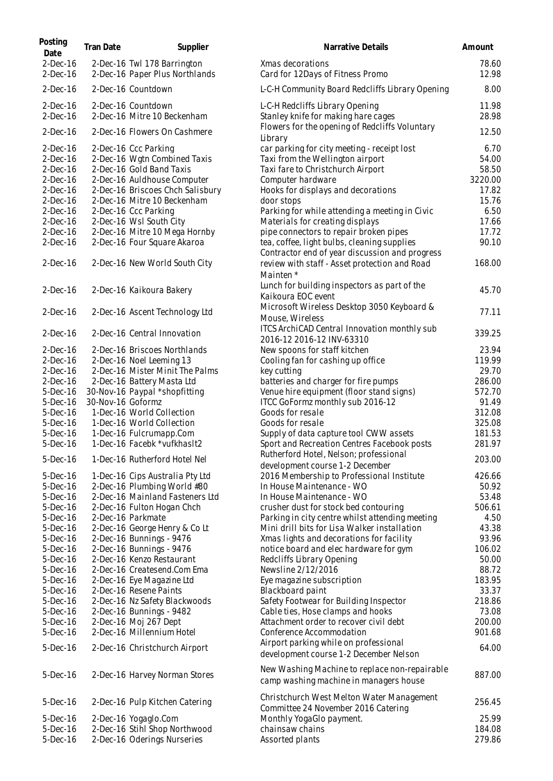| Posting<br>Date          | Tran Date         | Supplier                                                      | Narrative Details                                                                       | Amount         |
|--------------------------|-------------------|---------------------------------------------------------------|-----------------------------------------------------------------------------------------|----------------|
| $2-Dec-16$<br>$2-Dec-16$ |                   | 2-Dec-16 Twl 178 Barrington<br>2-Dec-16 Paper Plus Northlands | Xmas decorations<br>Card for 12Days of Fitness Promo                                    | 78.60<br>12.98 |
| $2-Dec-16$               |                   | 2-Dec-16 Countdown                                            | L-C-H Community Board Redcliffs Library Opening                                         | 8.00           |
| $2-Dec-16$<br>$2-Dec-16$ |                   | 2-Dec-16 Countdown<br>2-Dec-16 Mitre 10 Beckenham             | L-C-H Redcliffs Library Opening<br>Stanley knife for making hare cages                  | 11.98<br>28.98 |
| $2-Dec-16$               |                   | 2-Dec-16 Flowers On Cashmere                                  | Flowers for the opening of Redcliffs Voluntary<br>Library                               | 12.50          |
| $2-Dec-16$               |                   | 2-Dec-16 Ccc Parking                                          | car parking for city meeting - receipt lost                                             | 6.70           |
| $2-Dec-16$               |                   | 2-Dec-16 Wgtn Combined Taxis                                  | Taxi from the Wellington airport                                                        | 54.00          |
| $2-Dec-16$               |                   | 2-Dec-16 Gold Band Taxis                                      | Taxi fare to Christchurch Airport                                                       | 58.50          |
| $2-Dec-16$               |                   | 2-Dec-16 Auldhouse Computer                                   | Computer hardware                                                                       | 3220.00        |
| $2-Dec-16$               |                   | 2-Dec-16 Briscoes Chch Salisbury                              | Hooks for displays and decorations                                                      | 17.82          |
| $2$ -Dec-16              |                   | 2-Dec-16 Mitre 10 Beckenham                                   | door stops                                                                              | 15.76          |
| $2$ -Dec-16              |                   | 2-Dec-16 Ccc Parking                                          | Parking for while attending a meeting in Civic                                          | 6.50           |
| $2$ -Dec-16              |                   | 2-Dec-16 Wsl South City                                       | Materials for creating displays                                                         | 17.66          |
| $2-Dec-16$               |                   | 2-Dec-16 Mitre 10 Mega Hornby                                 | pipe connectors to repair broken pipes                                                  | 17.72          |
| $2-Dec-16$               |                   | 2-Dec-16 Four Square Akaroa                                   | tea, coffee, light bulbs, cleaning supplies                                             | 90.10          |
|                          |                   |                                                               | Contractor end of year discussion and progress                                          |                |
| $2$ -Dec-16              |                   | 2-Dec-16 New World South City                                 | review with staff - Asset protection and Road<br>Mainten *                              | 168.00         |
| $2-Dec-16$               |                   | 2-Dec-16 Kaikoura Bakery                                      | Lunch for building inspectors as part of the                                            | 45.70          |
|                          |                   |                                                               | Kaikoura EOC event                                                                      |                |
| $2$ -Dec-16              |                   | 2-Dec-16 Ascent Technology Ltd                                | Microsoft Wireless Desktop 3050 Keyboard &<br>Mouse, Wireless                           | 77.11          |
| $2$ -Dec-16              |                   | 2-Dec-16 Central Innovation                                   | ITCS ArchiCAD Central Innovation monthly sub<br>2016-12 2016-12 INV-63310               | 339.25         |
| $2-Dec-16$               |                   | 2-Dec-16 Briscoes Northlands                                  | New spoons for staff kitchen                                                            | 23.94          |
| $2$ -Dec-16              |                   | 2-Dec-16 Noel Leeming 13                                      | Cooling fan for cashing up office                                                       | 119.99         |
| $2-Dec-16$               |                   | 2-Dec-16 Mister Minit The Palms                               | key cutting                                                                             | 29.70          |
| $2-Dec-16$               |                   | 2-Dec-16 Battery Masta Ltd                                    | batteries and charger for fire pumps                                                    | 286.00         |
| $5-Dec-16$               |                   | 30-Nov-16 Paypal *shopfitting                                 | Venue hire equipment (floor stand signs)                                                | 572.70         |
| 5-Dec-16                 | 30-Nov-16 Goformz |                                                               | ITCC GoFormz monthly sub 2016-12                                                        | 91.49          |
| 5-Dec-16                 |                   | 1-Dec-16 World Collection                                     | Goods for resale                                                                        | 312.08         |
| $5-Dec-16$               |                   | 1-Dec-16 World Collection                                     | Goods for resale                                                                        | 325.08         |
| 5-Dec-16                 |                   | 1-Dec-16 Fulcrumapp.Com                                       | Supply of data capture tool CWW assets                                                  | 181.53         |
| 5-Dec-16                 |                   | 1-Dec-16 Facebk *vufkhasIt2                                   | Sport and Recreation Centres Facebook posts                                             | 281.97         |
| 5-Dec-16                 |                   | 1-Dec-16 Rutherford Hotel Nel                                 | Rutherford Hotel, Nelson; professional                                                  | 203.00         |
| 5-Dec-16                 |                   | 1-Dec-16 Cips Australia Pty Ltd                               | development course 1-2 December<br>2016 Membership to Professional Institute            | 426.66         |
| 5-Dec-16                 |                   | 2-Dec-16 Plumbing World #80                                   | In House Maintenance - WO                                                               | 50.92          |
| 5-Dec-16                 |                   | 2-Dec-16 Mainland Fasteners Ltd                               | In House Maintenance - WO                                                               | 53.48          |
| 5-Dec-16                 |                   | 2-Dec-16 Fulton Hogan Chch                                    | crusher dust for stock bed contouring                                                   | 506.61         |
| $5-Dec-16$               |                   | 2-Dec-16 Parkmate                                             | Parking in city centre whilst attending meeting                                         | 4.50           |
| 5-Dec-16                 |                   | 2-Dec-16 George Henry & Co Lt                                 | Mini drill bits for Lisa Walker installation                                            | 43.38          |
| 5-Dec-16                 |                   | 2-Dec-16 Bunnings - 9476                                      | Xmas lights and decorations for facility                                                | 93.96          |
| 5-Dec-16                 |                   | 2-Dec-16 Bunnings - 9476                                      | notice board and elec hardware for gym                                                  | 106.02         |
| $5-Dec-16$               |                   | 2-Dec-16 Kenzo Restaurant                                     | Redcliffs Library Opening                                                               | 50.00          |
| 5-Dec-16                 |                   | 2-Dec-16 Createsend.Com Ema                                   | Newsline 2/12/2016                                                                      | 88.72          |
| 5-Dec-16                 |                   | 2-Dec-16 Eye Magazine Ltd                                     | Eye magazine subscription                                                               | 183.95         |
| 5-Dec-16                 |                   | 2-Dec-16 Resene Paints                                        | Blackboard paint                                                                        | 33.37          |
| $5-Dec-16$               |                   | 2-Dec-16 Nz Safety Blackwoods                                 | Safety Footwear for Building Inspector                                                  | 218.86         |
| $5-Dec-16$               |                   | 2-Dec-16 Bunnings - 9482                                      | Cable ties, Hose clamps and hooks                                                       | 73.08          |
| $5-Dec-16$               |                   | 2-Dec-16 Moj 267 Dept                                         | Attachment order to recover civil debt                                                  | 200.00         |
| $5-Dec-16$               |                   | 2-Dec-16 Millennium Hotel                                     | Conference Accommodation                                                                | 901.68         |
|                          |                   |                                                               | Airport parking while on professional                                                   |                |
| $5-Dec-16$               |                   | 2-Dec-16 Christchurch Airport                                 | development course 1-2 December Nelson                                                  | 64.00          |
| 5-Dec-16                 |                   | 2-Dec-16 Harvey Norman Stores                                 | New Washing Machine to replace non-repairable<br>camp washing machine in managers house | 887.00         |
| 5-Dec-16                 |                   | 2-Dec-16 Pulp Kitchen Catering                                | Christchurch West Melton Water Management<br>Committee 24 November 2016 Catering        | 256.45         |
| 5-Dec-16                 |                   | 2-Dec-16 Yogaglo.Com                                          | Monthly YogaGlo payment.                                                                | 25.99          |
| $5-Dec-16$               |                   | 2-Dec-16 Stihl Shop Northwood                                 | chainsaw chains                                                                         | 184.08         |
| 5-Dec-16                 |                   | 2-Dec-16 Oderings Nurseries                                   | Assorted plants                                                                         | 279.86         |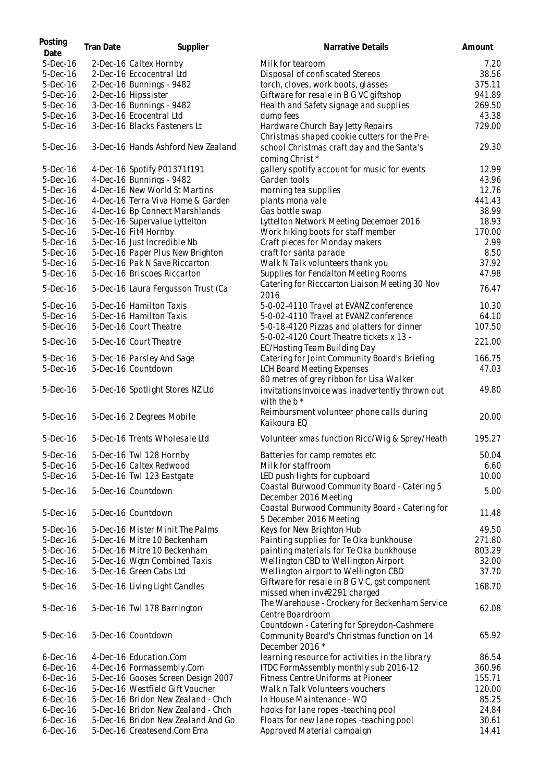| Posting<br>Date | Tran Date | Supplier                           | Narrative Details                                                                                           | Amount |
|-----------------|-----------|------------------------------------|-------------------------------------------------------------------------------------------------------------|--------|
| 5-Dec-16        |           | 2-Dec-16 Caltex Hornby             | Milk for tearoom                                                                                            | 7.20   |
| 5-Dec-16        |           | 2-Dec-16 Eccocentral Ltd           | Disposal of confiscated Stereos                                                                             | 38.56  |
| $5-Dec-16$      |           | 2-Dec-16 Bunnings - 9482           | torch, cloves, work boots, glasses                                                                          | 375.11 |
| $5-Dec-16$      |           | 2-Dec-16 Hipssister                | Giftware for resale in B G VC giftshop                                                                      | 941.89 |
| $5-Dec-16$      |           | 3-Dec-16 Bunnings - 9482           | Health and Safety signage and supplies                                                                      | 269.50 |
| $5-Dec-16$      |           | 3-Dec-16 Ecocentral Ltd            | dump fees                                                                                                   | 43.38  |
| 5-Dec-16        |           | 3-Dec-16 Blacks Fasteners Lt       | Hardware Church Bay Jetty Repairs<br>Christmas shaped cookie cutters for the Pre-                           | 729.00 |
| 5-Dec-16        |           | 3-Dec-16 Hands Ashford New Zealand | school Christmas craft day and the Santa's<br>coming Christ *                                               | 29.30  |
| $5-Dec-16$      |           | 4-Dec-16 Spotify P01371f191        | gallery spotify account for music for events                                                                | 12.99  |
| 5-Dec-16        |           | 4-Dec-16 Bunnings - 9482           | Garden tools                                                                                                | 43.96  |
| 5-Dec-16        |           | 4-Dec-16 New World St Martins      | morning tea supplies                                                                                        | 12.76  |
| $5-Dec-16$      |           | 4-Dec-16 Terra Viva Home & Garden  | plants mona vale                                                                                            | 441.43 |
| $5-Dec-16$      |           | 4-Dec-16 Bp Connect Marshlands     | Gas bottle swap                                                                                             | 38.99  |
| $5-Dec-16$      |           | 5-Dec-16 Supervalue Lyttelton      | Lyttelton Network Meeting December 2016                                                                     | 18.93  |
| 5-Dec-16        |           | 5-Dec-16 Fit4 Hornby               | Work hiking boots for staff member                                                                          | 170.00 |
| 5-Dec-16        |           | 5-Dec-16 Just Incredible Nb        | Craft pieces for Monday makers                                                                              | 2.99   |
| 5-Dec-16        |           | 5-Dec-16 Paper Plus New Brighton   | craft for santa parade                                                                                      | 8.50   |
| 5-Dec-16        |           | 5-Dec-16 Pak N Save Riccarton      | Walk N Talk volunteers thank you                                                                            | 37.92  |
| 5-Dec-16        |           | 5-Dec-16 Briscoes Riccarton        | Supplies for Fendalton Meeting Rooms                                                                        | 47.98  |
| 5-Dec-16        |           | 5-Dec-16 Laura Fergusson Trust (Ca | Catering for Ricccarton Liaison Meeting 30 Nov<br>2016                                                      | 76.47  |
| $5-Dec-16$      |           | 5-Dec-16 Hamilton Taxis            | 5-0-02-4110 Travel at EVANZ conference                                                                      | 10.30  |
| 5-Dec-16        |           | 5-Dec-16 Hamilton Taxis            | 5-0-02-4110 Travel at EVANZ conference                                                                      | 64.10  |
| 5-Dec-16        |           | 5-Dec-16 Court Theatre             | 5-0-18-4120 Pizzas and platters for dinner                                                                  | 107.50 |
| 5-Dec-16        |           | 5-Dec-16 Court Theatre             | 5-0-02-4120 Court Theatre tickets x 13 -<br>EC/Hosting Team Building Day                                    | 221.00 |
| $5-Dec-16$      |           | 5-Dec-16 Parsley And Sage          | Catering for Joint Community Board's Briefing                                                               | 166.75 |
| 5-Dec-16        |           | 5-Dec-16 Countdown                 | LCH Board Meeting Expenses<br>80 metres of grey ribbon for Lisa Walker                                      | 47.03  |
| $5-Dec-16$      |           | 5-Dec-16 Spotlight Stores NZ Ltd   | invitations Invoice was inadvertently thrown out<br>with the $b *$                                          | 49.80  |
| $5-Dec-16$      |           | 5-Dec-16 2 Degrees Mobile          | Reimbursment volunteer phone calls during<br>Kaikoura EQ                                                    | 20.00  |
| $5$ -Dec $-16$  |           | 5-Dec-16 Trents Wholesale Ltd      | Volunteer xmas function Ricc/Wig & Sprey/Heath                                                              | 195.27 |
| 5-Dec-16        |           | 5-Dec-16 Twl 128 Hornby            | Batteries for camp remotes etc.                                                                             | 50.04  |
| 5-Dec-16        |           | 5-Dec-16 Caltex Redwood            | Milk for staffroom                                                                                          | 6.60   |
| $5-Dec-16$      |           | 5-Dec-16 Twl 123 Eastgate          | LED push lights for cupboard                                                                                | 10.00  |
| 5-Dec-16        |           | 5-Dec-16 Countdown                 | Coastal Burwood Community Board - Catering 5<br>December 2016 Meeting                                       | 5.00   |
| 5-Dec-16        |           | 5-Dec-16 Countdown                 | Coastal Burwood Community Board - Catering for<br>5 December 2016 Meeting                                   | 11.48  |
| 5-Dec-16        |           | 5-Dec-16 Mister Minit The Palms    | Keys for New Brighton Hub                                                                                   | 49.50  |
| $5-Dec-16$      |           | 5-Dec-16 Mitre 10 Beckenham        | Painting supplies for Te Oka bunkhouse                                                                      | 271.80 |
| 5-Dec-16        |           | 5-Dec-16 Mitre 10 Beckenham        | painting materials for Te Oka bunkhouse                                                                     | 803.29 |
| 5-Dec-16        |           | 5-Dec-16 Wgtn Combined Taxis       | Wellington CBD to Wellington Airport                                                                        | 32.00  |
| 5-Dec-16        |           | 5-Dec-16 Green Cabs Ltd            | Wellington airport to Wellington CBD                                                                        | 37.70  |
| 5-Dec-16        |           | 5-Dec-16 Living Light Candles      | Giftware for resale in B G V C, gst component<br>missed when inv#2291 charged                               | 168.70 |
| 5-Dec-16        |           | 5-Dec-16 Twl 178 Barrington        | The Warehouse - Crockery for Beckenham Service<br>Centre Boardroom                                          | 62.08  |
| 5-Dec-16        |           | 5-Dec-16 Countdown                 | Countdown - Catering for Spreydon-Cashmere<br>Community Board's Christmas function on 14<br>December 2016 * | 65.92  |
| $6$ -Dec-16     |           | 4-Dec-16 Education.Com             | learning resource for activities in the library                                                             | 86.54  |
| $6$ -Dec-16     |           | 4-Dec-16 Formassembly.Com          | ITDC FormAssembly monthly sub 2016-12                                                                       | 360.96 |
| $6$ -Dec-16     |           | 5-Dec-16 Gooses Screen Design 2007 | Fitness Centre Uniforms at Pioneer                                                                          | 155.71 |
| $6$ -Dec-16     |           | 5-Dec-16 Westfield Gift Voucher    | Walk n Talk Volunteers vouchers                                                                             | 120.00 |
| $6$ -Dec-16     |           | 5-Dec-16 Bridon New Zealand - Chch | In House Maintenance - WO                                                                                   | 85.25  |
| $6$ -Dec-16     |           | 5-Dec-16 Bridon New Zealand - Chch | hooks for lane ropes - teaching pool                                                                        | 24.84  |
| $6$ -Dec-16     |           | 5-Dec-16 Bridon New Zealand And Go | Floats for new lane ropes -teaching pool                                                                    | 30.61  |
| $6$ -Dec-16     |           | 5-Dec-16 Createsend.Com Ema        | Approved Material campaign                                                                                  | 14.41  |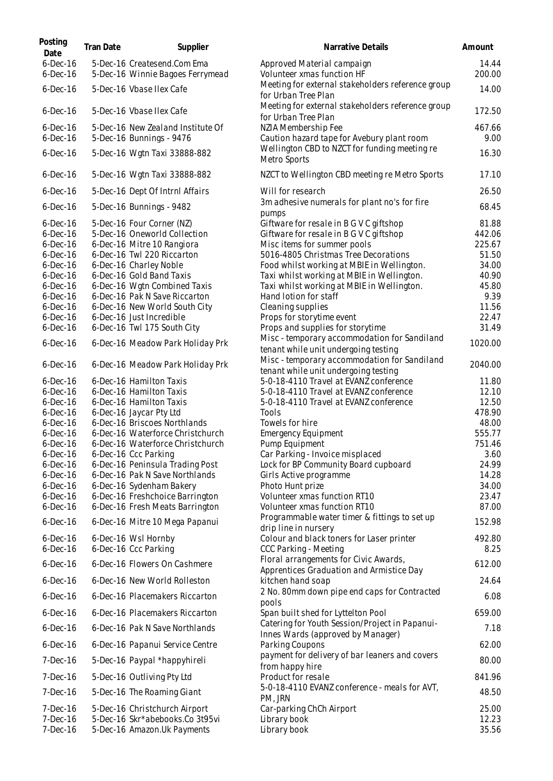| Posting<br>Date            | Tran Date | Supplier                                                         | Narrative Details                                                                    | Amount          |
|----------------------------|-----------|------------------------------------------------------------------|--------------------------------------------------------------------------------------|-----------------|
| $6$ -Dec-16<br>$6$ -Dec-16 |           | 5-Dec-16 Createsend.Com Ema<br>5-Dec-16 Winnie Bagoes Ferrymead  | Approved Material campaign<br>Volunteer xmas function HF                             | 14.44<br>200.00 |
| $6$ -Dec-16                |           | 5-Dec-16 Vbase Ilex Cafe                                         | Meeting for external stakeholders reference group<br>for Urban Tree Plan             | 14.00           |
| $6$ -Dec-16                |           | 5-Dec-16 Vbase Ilex Cafe                                         | Meeting for external stakeholders reference group<br>for Urban Tree Plan             | 172.50          |
| $6$ -Dec-16<br>$6$ -Dec-16 |           | 5-Dec-16 New Zealand Institute Of<br>5-Dec-16 Bunnings - 9476    | NZIA Membership Fee<br>Caution hazard tape for Avebury plant room                    | 467.66<br>9.00  |
| $6$ -Dec-16                |           | 5-Dec-16 Wgtn Taxi 33888-882                                     | Wellington CBD to NZCT for funding meeting re<br>Metro Sports                        | 16.30           |
| $6$ -Dec-16                |           | 5-Dec-16 Wgtn Taxi 33888-882                                     | NZCT to Wellington CBD meeting re Metro Sports                                       | 17.10           |
| $6$ -Dec-16                |           | 5-Dec-16 Dept Of Intrnl Affairs                                  | Will for research                                                                    | 26.50           |
| $6$ -Dec-16                |           | 5-Dec-16 Bunnings - 9482                                         | 3m adhesive numerals for plant no's for fire<br>pumps                                | 68.45           |
| $6$ -Dec-16                |           | 5-Dec-16 Four Corner (NZ)                                        | Giftware for resale in B G V C giftshop                                              | 81.88           |
| $6$ -Dec-16                |           | 5-Dec-16 Oneworld Collection                                     | Giftware for resale in B G V C giftshop                                              | 442.06          |
| $6$ -Dec-16                |           | 6-Dec-16 Mitre 10 Rangiora                                       | Misc items for summer pools                                                          | 225.67          |
| $6$ -Dec-16<br>$6$ -Dec-16 |           | 6-Dec-16 Twl 220 Riccarton<br>6-Dec-16 Charley Noble             | 5016-4805 Christmas Tree Decorations<br>Food whilst working at MBIE in Wellington.   | 51.50<br>34.00  |
| $6$ -Dec-16                |           | 6-Dec-16 Gold Band Taxis                                         | Taxi whilst working at MBIE in Wellington.                                           | 40.90           |
| $6$ -Dec-16                |           | 6-Dec-16 Wgtn Combined Taxis                                     | Taxi whilst working at MBIE in Wellington.                                           | 45.80           |
| $6$ -Dec-16                |           | 6-Dec-16 Pak N Save Riccarton                                    | Hand lotion for staff                                                                | 9.39            |
| $6$ -Dec-16                |           | 6-Dec-16 New World South City                                    | Cleaning supplies                                                                    | 11.56           |
| $6$ -Dec-16                |           | 6-Dec-16 Just Incredible                                         | Props for storytime event                                                            | 22.47           |
| $6$ -Dec-16                |           | 6-Dec-16 Twl 175 South City                                      | Props and supplies for storytime                                                     | 31.49           |
| $6$ -Dec-16                |           | 6-Dec-16 Meadow Park Holiday Prk                                 | Misc - temporary accommodation for Sandiland<br>tenant while unit undergoing testing | 1020.00         |
| $6$ -Dec-16                |           | 6-Dec-16 Meadow Park Holiday Prk                                 | Misc - temporary accommodation for Sandiland<br>tenant while unit undergoing testing | 2040.00         |
| $6$ -Dec-16                |           | 6-Dec-16 Hamilton Taxis                                          | 5-0-18-4110 Travel at EVANZ conference                                               | 11.80           |
| $6$ -Dec-16                |           | 6-Dec-16 Hamilton Taxis                                          | 5-0-18-4110 Travel at EVANZ conference                                               | 12.10           |
| $6$ -Dec-16                |           | 6-Dec-16 Hamilton Taxis                                          | 5-0-18-4110 Travel at EVANZ conference                                               | 12.50           |
| $6$ -Dec-16                |           | 6-Dec-16 Jaycar Pty Ltd                                          | Tools                                                                                | 478.90          |
| $6$ -Dec-16<br>$6$ -Dec-16 |           | 6-Dec-16 Briscoes Northlands<br>6-Dec-16 Waterforce Christchurch | Towels for hire                                                                      | 48.00<br>555.77 |
| $6$ -Dec-16                |           | 6-Dec-16 Waterforce Christchurch                                 | <b>Emergency Equipment</b><br>Pump Equipment                                         | 751.46          |
| $6$ -Dec-16                |           | 6-Dec-16 Ccc Parking                                             | Car Parking - Invoice misplaced                                                      | 3.60            |
| $6$ -Dec-16                |           | 6-Dec-16 Peninsula Trading Post                                  | Lock for BP Community Board cupboard                                                 | 24.99           |
| $6$ -Dec-16                |           | 6-Dec-16 Pak N Save Northlands                                   | Girls Active programme                                                               | 14.28           |
| $6$ -Dec-16                |           | 6-Dec-16 Sydenham Bakery                                         | Photo Hunt prize                                                                     | 34.00           |
| $6$ -Dec-16                |           | 6-Dec-16 Freshchoice Barrington                                  | Volunteer xmas function RT10                                                         | 23.47           |
| $6$ -Dec-16                |           | 6-Dec-16 Fresh Meats Barrington                                  | Volunteer xmas function RT10                                                         | 87.00           |
| $6$ -Dec-16                |           | 6-Dec-16 Mitre 10 Mega Papanui                                   | Programmable water timer & fittings to set up<br>drip line in nursery                | 152.98          |
| $6$ -Dec-16<br>$6$ -Dec-16 |           | 6-Dec-16 Wsl Hornby<br>6-Dec-16 Ccc Parking                      | Colour and black toners for Laser printer<br>CCC Parking - Meeting                   | 492.80<br>8.25  |
| $6$ -Dec-16                |           | 6-Dec-16 Flowers On Cashmere                                     | Floral arrangements for Civic Awards,<br>Apprentices Graduation and Armistice Day    | 612.00          |
| $6$ -Dec-16                |           | 6-Dec-16 New World Rolleston                                     | kitchen hand soap                                                                    | 24.64           |
| $6$ -Dec-16                |           | 6-Dec-16 Placemakers Riccarton                                   | 2 No. 80mm down pipe end caps for Contracted<br>pools                                | 6.08            |
| $6$ -Dec-16                |           | 6-Dec-16 Placemakers Riccarton                                   | Span built shed for Lyttelton Pool                                                   | 659.00          |
| $6$ -Dec-16                |           | 6-Dec-16 Pak N Save Northlands                                   | Catering for Youth Session/Project in Papanui-<br>Innes Wards (approved by Manager)  | 7.18            |
| $6$ -Dec-16                |           | 6-Dec-16 Papanui Service Centre                                  | Parking Coupons                                                                      | 62.00           |
| 7-Dec-16                   |           | 5-Dec-16 Paypal *happyhireli                                     | payment for delivery of bar leaners and covers<br>from happy hire                    | 80.00           |
| 7-Dec-16                   |           | 5-Dec-16 Outliving Pty Ltd                                       | Product for resale                                                                   | 841.96          |
| $7-Dec-16$                 |           | 5-Dec-16 The Roaming Giant                                       | 5-0-18-4110 EVANZ conference - meals for AVT,<br>PM, JRN                             | 48.50           |
| $7-Dec-16$                 |           | 5-Dec-16 Christchurch Airport                                    | Car-parking ChCh Airport                                                             | 25.00           |
| 7-Dec-16<br>7-Dec-16       |           | 5-Dec-16 Skr*abebooks.Co 3t95vi<br>5-Dec-16 Amazon.Uk Payments   | Library book<br>Library book                                                         | 12.23<br>35.56  |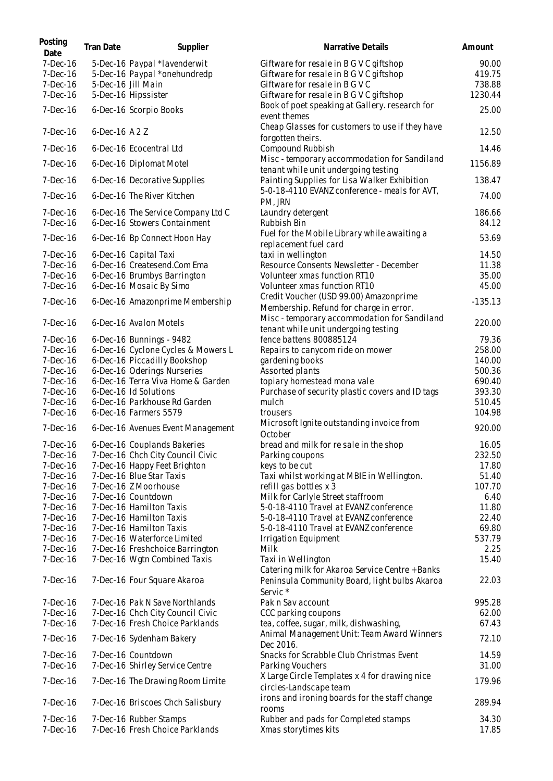| Posting<br>Date        | Tran Date      | Supplier                                                           | Narrative Details                                                                       | Amount           |
|------------------------|----------------|--------------------------------------------------------------------|-----------------------------------------------------------------------------------------|------------------|
| 7-Dec-16               |                | 5-Dec-16 Paypal *lavenderwit                                       | Giftware for resale in B G V C giftshop                                                 | 90.00            |
| 7-Dec-16               |                | 5-Dec-16 Paypal *onehundredp                                       | Giftware for resale in B G V C giftshop                                                 | 419.75           |
| $7-Dec-16$             |                | 5-Dec-16 Jill Main                                                 | Giftware for resale in B G V C                                                          | 738.88           |
| $7-Dec-16$             |                | 5-Dec-16 Hipssister                                                | Giftware for resale in B G V C giftshop                                                 | 1230.44          |
| 7-Dec-16               |                | 6-Dec-16 Scorpio Books                                             | Book of poet speaking at Gallery. research for<br>event themes                          | 25.00            |
| $7-Dec-16$             | 6-Dec-16 A 2 Z |                                                                    | Cheap Glasses for customers to use if they have<br>forgotten theirs.                    | 12.50            |
| $7-Dec-16$             |                | 6-Dec-16 Ecocentral Ltd                                            | Compound Rubbish                                                                        | 14.46            |
| 7-Dec-16               |                | 6-Dec-16 Diplomat Motel                                            | Misc - temporary accommodation for Sandiland<br>tenant while unit undergoing testing    | 1156.89          |
| 7-Dec-16               |                | 6-Dec-16 Decorative Supplies                                       | Painting Supplies for Lisa Walker Exhibition                                            | 138.47           |
| $7-Dec-16$             |                | 6-Dec-16 The River Kitchen                                         | 5-0-18-4110 EVANZ conference - meals for AVT,<br>PM, JRN                                | 74.00            |
| $7-Dec-16$<br>7-Dec-16 |                | 6-Dec-16 The Service Company Ltd C<br>6-Dec-16 Stowers Containment | Laundry detergent<br>Rubbish Bin                                                        | 186.66<br>84.12  |
| $7-Dec-16$             |                | 6-Dec-16 Bp Connect Hoon Hay                                       | Fuel for the Mobile Library while awaiting a<br>replacement fuel card                   | 53.69            |
| $7-Dec-16$             |                | 6-Dec-16 Capital Taxi                                              | taxi in wellington                                                                      | 14.50            |
| $7-Dec-16$             |                | 6-Dec-16 Createsend.Com Ema                                        | Resource Consents Newsletter - December                                                 | 11.38            |
| $7-Dec-16$             |                | 6-Dec-16 Brumbys Barrington                                        | Volunteer xmas function RT10                                                            | 35.00            |
| 7-Dec-16               |                | 6-Dec-16 Mosaic By Simo                                            | Volunteer xmas function RT10                                                            | 45.00            |
| 7-Dec-16               |                | 6-Dec-16 Amazonprime Membership                                    | Credit Voucher (USD 99.00) Amazonprime                                                  | $-135.13$        |
| $7-Dec-16$             |                | 6-Dec-16 Avalon Motels                                             | Membership. Refund for charge in error.<br>Misc - temporary accommodation for Sandiland | 220.00           |
|                        |                |                                                                    | tenant while unit undergoing testing                                                    |                  |
| $7-Dec-16$             |                | 6-Dec-16 Bunnings - 9482                                           | fence battens 800885124                                                                 | 79.36            |
| $7-Dec-16$             |                | 6-Dec-16 Cyclone Cycles & Mowers L                                 | Repairs to canycom ride on mower                                                        | 258.00           |
| $7-Dec-16$             |                | 6-Dec-16 Piccadilly Bookshop                                       | gardening books                                                                         | 140.00           |
| $7-Dec-16$             |                | 6-Dec-16 Oderings Nurseries                                        | Assorted plants                                                                         | 500.36           |
| $7-Dec-16$<br>7-Dec-16 |                | 6-Dec-16 Terra Viva Home & Garden<br>6-Dec-16 Id Solutions         | topiary homestead mona vale                                                             | 690.40<br>393.30 |
| $7-Dec-16$             |                | 6-Dec-16 Parkhouse Rd Garden                                       | Purchase of security plastic covers and ID tags<br>mulch                                | 510.45           |
| 7-Dec-16               |                | 6-Dec-16 Farmers 5579                                              | trousers                                                                                | 104.98           |
| 7-Dec-16               |                | 6-Dec-16 Avenues Event Management                                  | Microsoft Ignite outstanding invoice from<br>October                                    | 920.00           |
| 7-Dec-16               |                | 6-Dec-16 Couplands Bakeries                                        | bread and milk for resale in the shop                                                   | 16.05            |
| $7-Dec-16$             |                | 7-Dec-16 Chch City Council Civic                                   | Parking coupons                                                                         | 232.50           |
| $7-Dec-16$             |                | 7-Dec-16 Happy Feet Brighton                                       | keys to be cut                                                                          | 17.80            |
| $7-Dec-16$             |                | 7-Dec-16 Blue Star Taxis                                           | Taxi whilst working at MBIE in Wellington.                                              | 51.40            |
| $7-Dec-16$             |                | 7-Dec-16 Z Moorhouse                                               | refill gas bottles x 3                                                                  | 107.70           |
| $7-Dec-16$             |                | 7-Dec-16 Countdown                                                 | Milk for Carlyle Street staffroom                                                       | 6.40             |
| $7-Dec-16$             |                | 7-Dec-16 Hamilton Taxis                                            | 5-0-18-4110 Travel at EVANZ conference                                                  | 11.80            |
| $7-Dec-16$             |                | 7-Dec-16 Hamilton Taxis                                            | 5-0-18-4110 Travel at EVANZ conference                                                  | 22.40            |
| 7-Dec-16               |                | 7-Dec-16 Hamilton Taxis                                            | 5-0-18-4110 Travel at EVANZ conference                                                  | 69.80            |
| $7-Dec-16$             |                | 7-Dec-16 Waterforce Limited                                        | Irrigation Equipment                                                                    | 537.79           |
| $7-Dec-16$             |                | 7-Dec-16 Freshchoice Barrington                                    | Milk                                                                                    | 2.25             |
| $7-Dec-16$             |                | 7-Dec-16 Wgtn Combined Taxis                                       | Taxi in Wellington<br>Catering milk for Akaroa Service Centre + Banks                   | 15.40            |
| $7-Dec-16$             |                | 7-Dec-16 Four Square Akaroa                                        | Peninsula Community Board, light bulbs Akaroa<br>Servic *                               | 22.03            |
| $7-Dec-16$             |                | 7-Dec-16 Pak N Save Northlands                                     | Pak n Sav account                                                                       | 995.28           |
| $7-Dec-16$             |                | 7-Dec-16 Chch City Council Civic                                   | CCC parking coupons                                                                     | 62.00            |
| 7-Dec-16               |                | 7-Dec-16 Fresh Choice Parklands                                    | tea, coffee, sugar, milk, dishwashing,<br>Animal Management Unit: Team Award Winners    | 67.43            |
| 7-Dec-16               |                | 7-Dec-16 Sydenham Bakery                                           | Dec 2016.                                                                               | 72.10            |
| $7-Dec-16$             |                | 7-Dec-16 Countdown                                                 | Snacks for Scrabble Club Christmas Event                                                | 14.59            |
| $7-Dec-16$             |                | 7-Dec-16 Shirley Service Centre                                    | Parking Vouchers                                                                        | 31.00            |
| 7-Dec-16               |                | 7-Dec-16 The Drawing Room Limite                                   | X Large Circle Templates x 4 for drawing nice<br>circles-Landscape team                 | 179.96           |
| $7-Dec-16$             |                | 7-Dec-16 Briscoes Chch Salisbury                                   | irons and ironing boards for the staff change<br>rooms                                  | 289.94           |
| $7-Dec-16$             |                | 7-Dec-16 Rubber Stamps                                             | Rubber and pads for Completed stamps                                                    | 34.30            |
| 7-Dec-16               |                | 7-Dec-16 Fresh Choice Parklands                                    | Xmas storytimes kits                                                                    | 17.85            |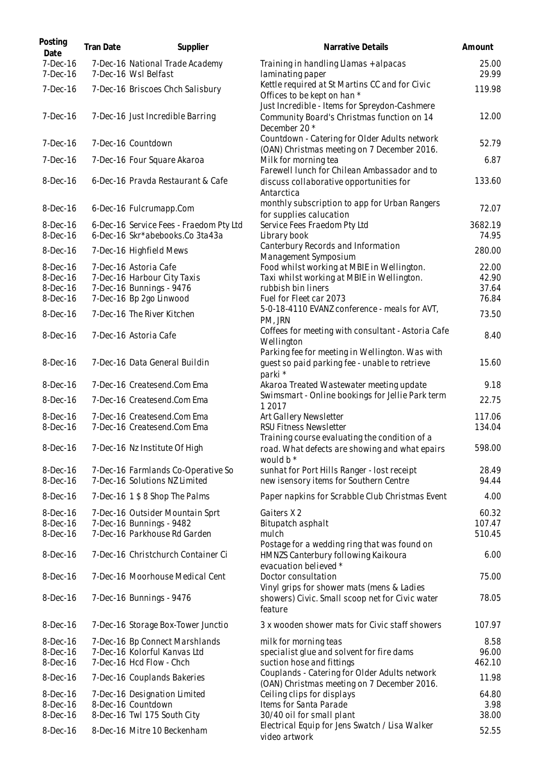| Posting<br>Date          | Tran Date | Supplier                                                                   | Narrative Details                                                                                                              | Amount           |
|--------------------------|-----------|----------------------------------------------------------------------------|--------------------------------------------------------------------------------------------------------------------------------|------------------|
| $7-Dec-16$<br>7-Dec-16   |           | 7-Dec-16 National Trade Academy<br>7-Dec-16 Wsl Belfast                    | Training in handling Llamas + alpacas<br>laminating paper                                                                      | 25.00<br>29.99   |
| 7-Dec-16                 |           | 7-Dec-16 Briscoes Chch Salisbury                                           | Kettle required at St Martins CC and for Civic<br>Offices to be kept on han *<br>Just Incredible - Items for Spreydon-Cashmere | 119.98           |
| $7-Dec-16$               |           | 7-Dec-16 Just Incredible Barring                                           | Community Board's Christmas function on 14<br>December 20 *                                                                    | 12.00            |
| $7-Dec-16$               |           | 7-Dec-16 Countdown                                                         | Countdown - Catering for Older Adults network<br>(OAN) Christmas meeting on 7 December 2016.                                   | 52.79            |
| 7-Dec-16                 |           | 7-Dec-16 Four Square Akaroa                                                | Milk for morning tea<br>Farewell lunch for Chilean Ambassador and to                                                           | 6.87             |
| 8-Dec-16                 |           | 6-Dec-16 Pravda Restaurant & Cafe                                          | discuss collaborative opportunities for<br>Antarctica                                                                          | 133.60           |
| $8-Dec-16$               |           | 6-Dec-16 Fulcrumapp.Com                                                    | monthly subscription to app for Urban Rangers<br>for supplies calucation                                                       | 72.07            |
| 8-Dec-16<br>8-Dec-16     |           | 6-Dec-16 Service Fees - Fraedom Pty Ltd<br>6-Dec-16 Skr*abebooks.Co 3ta43a | Service Fees Fraedom Pty Ltd<br>Library book                                                                                   | 3682.19<br>74.95 |
| 8-Dec-16                 |           | 7-Dec-16 Highfield Mews                                                    | Canterbury Records and Information<br>Management Symposium                                                                     | 280.00           |
| 8-Dec-16                 |           | 7-Dec-16 Astoria Cafe                                                      | Food whilst working at MBIE in Wellington.                                                                                     | 22.00            |
| 8-Dec-16                 |           | 7-Dec-16 Harbour City Taxis                                                | Taxi whilst working at MBIE in Wellington.                                                                                     | 42.90            |
| 8-Dec-16                 |           | 7-Dec-16 Bunnings - 9476<br>7-Dec-16 Bp 2go Linwood                        | rubbish bin liners<br>Fuel for Fleet car 2073                                                                                  | 37.64<br>76.84   |
| 8-Dec-16<br>8-Dec-16     |           | 7-Dec-16 The River Kitchen                                                 | 5-0-18-4110 EVANZ conference - meals for AVT,<br>PM, JRN                                                                       | 73.50            |
| 8-Dec-16                 |           | 7-Dec-16 Astoria Cafe                                                      | Coffees for meeting with consultant - Astoria Cafe<br>Wellington                                                               | 8.40             |
| 8-Dec-16                 |           | 7-Dec-16 Data General Buildin                                              | Parking fee for meeting in Wellington. Was with<br>guest so paid parking fee - unable to retrieve<br>parki *                   | 15.60            |
| $8$ -Dec-16              |           | 7-Dec-16 Createsend.Com Ema                                                | Akaroa Treated Wastewater meeting update                                                                                       | 9.18             |
| $8-Dec-16$               |           | 7-Dec-16 Createsend.Com Ema                                                | Swimsmart - Online bookings for Jellie Park term<br>1 2017                                                                     | 22.75            |
| 8-Dec-16<br>8-Dec-16     |           | 7-Dec-16 Createsend.Com Ema<br>7-Dec-16 Createsend.Com Ema                 | Art Gallery Newsletter<br>RSU Fitness Newsletter                                                                               | 117.06<br>134.04 |
| 8-Dec-16                 |           | 7-Dec-16 Nz Institute Of High                                              | Training course evaluating the condition of a<br>road. What defects are showing and what epairs<br>would $b^*$                 | 598.00           |
| $8-Dec-16$<br>$8-Dec-16$ |           | 7-Dec-16 Farmlands Co-Operative So<br>7-Dec-16 Solutions NZ Limited        | sunhat for Port Hills Ranger - lost receipt<br>new isensory items for Southern Centre                                          | 28.49<br>94.44   |
| 8-Dec-16                 |           | 7-Dec-16 1 \$ 8 Shop The Palms                                             | Paper napkins for Scrabble Club Christmas Event                                                                                | 4.00             |
| 8-Dec-16                 |           | 7-Dec-16 Outsider Mountain Sprt                                            | Gaiters X2                                                                                                                     | 60.32            |
| 8-Dec-16                 |           | 7-Dec-16 Bunnings - 9482                                                   | Bitupatch asphalt                                                                                                              | 107.47           |
| 8-Dec-16                 |           | 7-Dec-16 Parkhouse Rd Garden                                               | mulch<br>Postage for a wedding ring that was found on                                                                          | 510.45           |
| 8-Dec-16                 |           | 7-Dec-16 Christchurch Container Ci                                         | HMNZS Canterbury following Kaikoura<br>evacuation believed *                                                                   | 6.00             |
| 8-Dec-16                 |           | 7-Dec-16 Moorhouse Medical Cent                                            | Doctor consultation<br>Vinyl grips for shower mats (mens & Ladies                                                              | 75.00            |
| 8-Dec-16                 |           | 7-Dec-16 Bunnings - 9476                                                   | showers) Civic. Small scoop net for Civic water<br>feature                                                                     | 78.05            |
| 8-Dec-16                 |           | 7-Dec-16 Storage Box-Tower Junctio                                         | 3 x wooden shower mats for Civic staff showers                                                                                 | 107.97           |
| 8-Dec-16                 |           | 7-Dec-16 Bp Connect Marshlands                                             | milk for morning teas                                                                                                          | 8.58             |
| 8-Dec-16                 |           | 7-Dec-16 Kolorful Kanvas Ltd                                               | specialist glue and solvent for fire dams                                                                                      | 96.00            |
| 8-Dec-16                 |           | 7-Dec-16 Hcd Flow - Chch                                                   | suction hose and fittings<br>Couplands - Catering for Older Adults network                                                     | 462.10           |
| 8-Dec-16                 |           | 7-Dec-16 Couplands Bakeries                                                | (OAN) Christmas meeting on 7 December 2016.                                                                                    | 11.98            |
| 8-Dec-16                 |           | 7-Dec-16 Designation Limited                                               | Ceiling clips for displays                                                                                                     | 64.80            |
| 8-Dec-16                 |           | 8-Dec-16 Countdown                                                         | Items for Santa Parade                                                                                                         | 3.98<br>38.00    |
| 8-Dec-16<br>8-Dec-16     |           | 8-Dec-16 Twl 175 South City<br>8-Dec-16 Mitre 10 Beckenham                 | 30/40 oil for small plant<br>Electrical Equip for Jens Swatch / Lisa Walker<br>video artwork                                   | 52.55            |
|                          |           |                                                                            |                                                                                                                                |                  |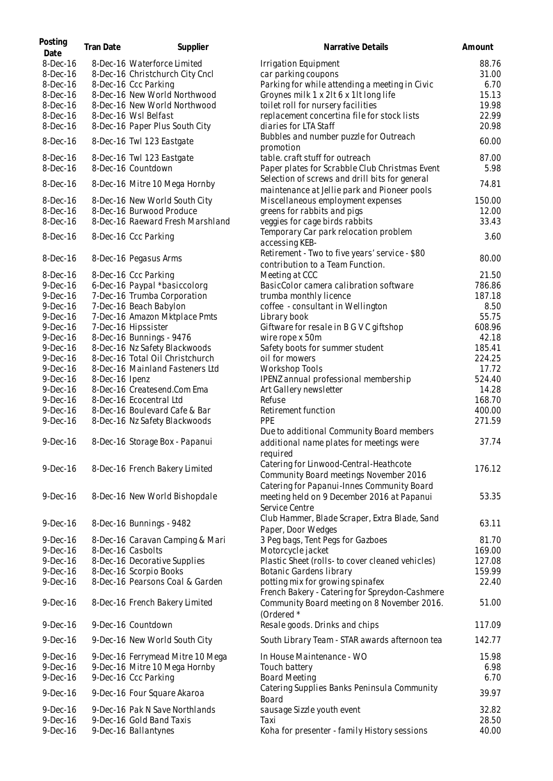| Posting<br>Date | Tran Date      | Supplier                         | Narrative Details                                                                              | Amount |
|-----------------|----------------|----------------------------------|------------------------------------------------------------------------------------------------|--------|
| $8-Dec-16$      |                | 8-Dec-16 Waterforce Limited      | Irrigation Equipment                                                                           | 88.76  |
| 8-Dec-16        |                | 8-Dec-16 Christchurch City Cncl  | car parking coupons                                                                            | 31.00  |
| 8-Dec-16        |                | 8-Dec-16 Ccc Parking             | Parking for while attending a meeting in Civic                                                 | 6.70   |
| 8-Dec-16        |                | 8-Dec-16 New World Northwood     | Groynes milk 1 x 2lt 6 x 1lt long life                                                         | 15.13  |
| 8-Dec-16        |                | 8-Dec-16 New World Northwood     | toilet roll for nursery facilities                                                             | 19.98  |
| 8-Dec-16        |                | 8-Dec-16 Wsl Belfast             | replacement concertina file for stock lists                                                    | 22.99  |
| 8-Dec-16        |                | 8-Dec-16 Paper Plus South City   | diaries for LTA Staff                                                                          | 20.98  |
| 8-Dec-16        |                | 8-Dec-16 Twl 123 Eastgate        | Bubbles and number puzzle for Outreach<br>promotion                                            | 60.00  |
| 8-Dec-16        |                | 8-Dec-16 Twl 123 Eastgate        | table. craft stuff for outreach                                                                | 87.00  |
| 8-Dec-16        |                | 8-Dec-16 Countdown               | Paper plates for Scrabble Club Christmas Event                                                 | 5.98   |
| 8-Dec-16        |                | 8-Dec-16 Mitre 10 Mega Hornby    | Selection of screws and drill bits for general<br>maintenance at Jellie park and Pioneer pools | 74.81  |
| 8-Dec-16        |                | 8-Dec-16 New World South City    | Miscellaneous employment expenses                                                              | 150.00 |
| 8-Dec-16        |                | 8-Dec-16 Burwood Produce         | greens for rabbits and pigs                                                                    | 12.00  |
| 8-Dec-16        |                | 8-Dec-16 Raeward Fresh Marshland | veggies for cage birds rabbits                                                                 | 33.43  |
| 8-Dec-16        |                | 8-Dec-16 Ccc Parking             | Temporary Car park relocation problem<br>accessing KEB-                                        | 3.60   |
|                 |                |                                  | Retirement - Two to five years' service - \$80                                                 |        |
| 8-Dec-16        |                | 8-Dec-16 Pegasus Arms            | contribution to a Team Function.                                                               | 80.00  |
| 8-Dec-16        |                | 8-Dec-16 Ccc Parking             | Meeting at CCC                                                                                 | 21.50  |
| $9-Dec-16$      |                | 6-Dec-16 Paypal *basiccolorg     | BasicColor camera calibration software                                                         | 786.86 |
| $9-Dec-16$      |                | 7-Dec-16 Trumba Corporation      | trumba monthly licence                                                                         | 187.18 |
| $9-Dec-16$      |                | 7-Dec-16 Beach Babylon           | coffee - consultant in Wellington                                                              | 8.50   |
| $9-Dec-16$      |                | 7-Dec-16 Amazon Mktplace Pmts    | Library book                                                                                   | 55.75  |
| $9-Dec-16$      |                | 7-Dec-16 Hipssister              | Giftware for resale in B G V C giftshop                                                        | 608.96 |
| $9-Dec-16$      |                | 8-Dec-16 Bunnings - 9476         | wire rope x 50m                                                                                | 42.18  |
| $9-Dec-16$      |                | 8-Dec-16 Nz Safety Blackwoods    | Safety boots for summer student                                                                | 185.41 |
| $9-Dec-16$      |                | 8-Dec-16 Total Oil Christchurch  | oil for mowers                                                                                 | 224.25 |
| $9-Dec-16$      |                | 8-Dec-16 Mainland Fasteners Ltd  | <b>Workshop Tools</b>                                                                          | 17.72  |
| $9-Dec-16$      | 8-Dec-16 Ipenz |                                  | IPENZ annual professional membership                                                           | 524.40 |
| $9-Dec-16$      |                | 8-Dec-16 Createsend.Com Ema      | Art Gallery newsletter                                                                         | 14.28  |
| $9-Dec-16$      |                | 8-Dec-16 Ecocentral Ltd          | Refuse                                                                                         | 168.70 |
| $9-Dec-16$      |                | 8-Dec-16 Boulevard Cafe & Bar    | Retirement function                                                                            | 400.00 |
| $9-Dec-16$      |                | 8-Dec-16 Nz Safety Blackwoods    | PPE                                                                                            | 271.59 |
|                 |                |                                  | Due to additional Community Board members                                                      |        |
| $9-Dec-16$      |                | 8-Dec-16 Storage Box - Papanui   | additional name plates for meetings were<br>required                                           | 37.74  |
|                 |                |                                  | Catering for Linwood-Central-Heathcote                                                         |        |
| $9-Dec-16$      |                | 8-Dec-16 French Bakery Limited   | Community Board meetings November 2016<br>Catering for Papanui-Innes Community Board           | 176.12 |
| $9-Dec-16$      |                | 8-Dec-16 New World Bishopdale    | meeting held on 9 December 2016 at Papanui                                                     | 53.35  |
|                 |                |                                  | Service Centre                                                                                 |        |
| $9-Dec-16$      |                | 8-Dec-16 Bunnings - 9482         | Club Hammer, Blade Scraper, Extra Blade, Sand<br>Paper, Door Wedges                            | 63.11  |
| $9-Dec-16$      |                | 8-Dec-16 Caravan Camping & Mari  | 3 Peg bags, Tent Pegs for Gazboes                                                              | 81.70  |
| $9-Dec-16$      |                | 8-Dec-16 Casbolts                | Motorcycle jacket                                                                              | 169.00 |
| $9-Dec-16$      |                | 8-Dec-16 Decorative Supplies     | Plastic Sheet (rolls- to cover cleaned vehicles)                                               | 127.08 |
| $9-Dec-16$      |                | 8-Dec-16 Scorpio Books           | Botanic Gardens library                                                                        | 159.99 |
| $9-Dec-16$      |                | 8-Dec-16 Pearsons Coal & Garden  | potting mix for growing spinafex<br>French Bakery - Catering for Spreydon-Cashmere             | 22.40  |
| $9-Dec-16$      |                | 8-Dec-16 French Bakery Limited   | Community Board meeting on 8 November 2016.<br>(Ordered *                                      | 51.00  |
| $9-Dec-16$      |                | 9-Dec-16 Countdown               | Resale goods. Drinks and chips                                                                 | 117.09 |
| $9-Dec-16$      |                | 9-Dec-16 New World South City    | South Library Team - STAR awards afternoon tea                                                 | 142.77 |
| $9-Dec-16$      |                | 9-Dec-16 Ferrymead Mitre 10 Mega | In House Maintenance - WO                                                                      | 15.98  |
| $9-Dec-16$      |                | 9-Dec-16 Mitre 10 Mega Hornby    | Touch battery                                                                                  | 6.98   |
| $9-Dec-16$      |                | 9-Dec-16 Ccc Parking             | <b>Board Meeting</b>                                                                           | 6.70   |
| $9-Dec-16$      |                | 9-Dec-16 Four Square Akaroa      | Catering Supplies Banks Peninsula Community<br>Board                                           | 39.97  |
| $9-Dec-16$      |                | 9-Dec-16 Pak N Save Northlands   | sausage Sizzle youth event                                                                     | 32.82  |
| $9-Dec-16$      |                | 9-Dec-16 Gold Band Taxis         | Taxi                                                                                           | 28.50  |
| $9-Dec-16$      |                | 9-Dec-16 Ballantynes             | Koha for presenter - family History sessions                                                   | 40.00  |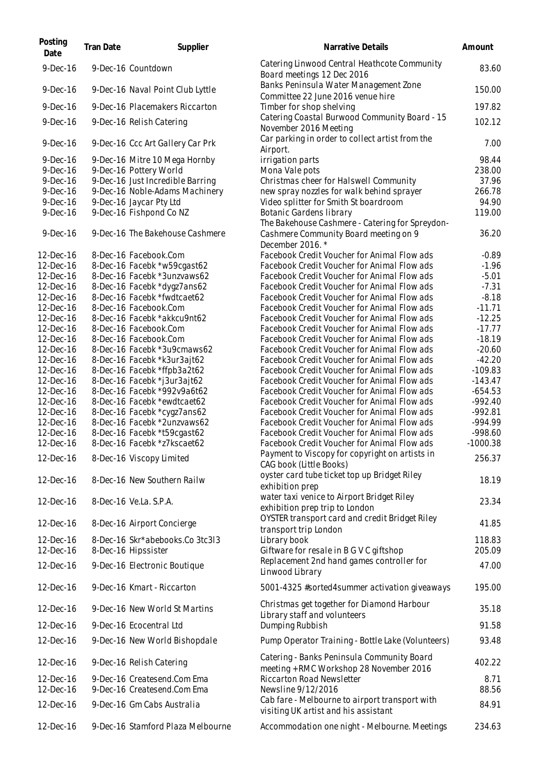| Posting<br>Date        | <b>Tran Date</b> | Supplier                                               | Narrative Details                                                                      | Amount           |
|------------------------|------------------|--------------------------------------------------------|----------------------------------------------------------------------------------------|------------------|
| $9-Dec-16$             |                  | 9-Dec-16 Countdown                                     | Catering Linwood Central Heathcote Community<br>Board meetings 12 Dec 2016             | 83.60            |
| $9-Dec-16$             |                  | 9-Dec-16 Naval Point Club Lyttle                       | Banks Peninsula Water Management Zone<br>Committee 22 June 2016 venue hire             | 150.00           |
| $9-Dec-16$             |                  | 9-Dec-16 Placemakers Riccarton                         | Timber for shop shelving                                                               | 197.82           |
| $9-Dec-16$             |                  | 9-Dec-16 Relish Catering                               | Catering Coastal Burwood Community Board - 15<br>November 2016 Meeting                 | 102.12           |
| $9-Dec-16$             |                  | 9-Dec-16 Ccc Art Gallery Car Prk                       | Car parking in order to collect artist from the<br>Airport.                            | 7.00             |
| 9-Dec-16               |                  | 9-Dec-16 Mitre 10 Mega Hornby                          | irrigation parts                                                                       | 98.44            |
| $9-Dec-16$             |                  | 9-Dec-16 Pottery World                                 | Mona Vale pots                                                                         | 238.00           |
| $9-Dec-16$             |                  | 9-Dec-16 Just Incredible Barring                       | Christmas cheer for Halswell Community                                                 | 37.96            |
| $9-Dec-16$             |                  | 9-Dec-16 Noble-Adams Machinery                         | new spray nozzles for walk behind sprayer                                              | 266.78           |
| $9-Dec-16$             |                  | 9-Dec-16 Jaycar Pty Ltd                                | Video splitter for Smith St boardroom                                                  | 94.90            |
| $9-Dec-16$             |                  | 9-Dec-16 Fishpond Co NZ                                | Botanic Gardens library                                                                | 119.00           |
|                        |                  |                                                        | The Bakehouse Cashmere - Catering for Spreydon-                                        |                  |
| $9$ -Dec-16            |                  | 9-Dec-16 The Bakehouse Cashmere                        | Cashmere Community Board meeting on 9<br>December 2016.*                               | 36.20            |
| 12-Dec-16              |                  | 8-Dec-16 Facebook.Com                                  | Facebook Credit Voucher for Animal Flow ads                                            | $-0.89$          |
| 12-Dec-16              |                  | 8-Dec-16 Facebk *w59cgast62                            | Facebook Credit Voucher for Animal Flow ads                                            | $-1.96$          |
| 12-Dec-16              |                  | 8-Dec-16 Facebk *3unzvaws62                            | Facebook Credit Voucher for Animal Flow ads                                            | $-5.01$          |
| 12-Dec-16              |                  | 8-Dec-16 Facebk *dygz7ans62                            | Facebook Credit Voucher for Animal Flow ads                                            | $-7.31$          |
| 12-Dec-16              |                  | 8-Dec-16 Facebk *fwdtcaet62                            | Facebook Credit Voucher for Animal Flow ads                                            | $-8.18$          |
| 12-Dec-16              |                  | 8-Dec-16 Facebook.Com                                  | Facebook Credit Voucher for Animal Flow ads                                            | $-11.71$         |
| 12-Dec-16              |                  | 8-Dec-16 Facebk *akkcu9nt62                            | Facebook Credit Voucher for Animal Flow ads                                            | $-12.25$         |
| 12-Dec-16              |                  | 8-Dec-16 Facebook.Com                                  | Facebook Credit Voucher for Animal Flow ads                                            | $-17.77$         |
| 12-Dec-16              |                  | 8-Dec-16 Facebook.Com                                  | Facebook Credit Voucher for Animal Flow ads                                            | $-18.19$         |
| 12-Dec-16              |                  | 8-Dec-16 Facebk *3u9cmaws62                            | Facebook Credit Voucher for Animal Flow ads                                            | $-20.60$         |
| 12-Dec-16              |                  | 8-Dec-16 Facebk *k3ur3ajt62                            | Facebook Credit Voucher for Animal Flow ads                                            | $-42.20$         |
| 12-Dec-16              |                  | 8-Dec-16 Facebk *ffpb3a2t62                            | Facebook Credit Voucher for Animal Flow ads                                            | $-109.83$        |
| 12-Dec-16              |                  | 8-Dec-16 Facebk *j3ur3ajt62                            | Facebook Credit Voucher for Animal Flow ads                                            | $-143.47$        |
| 12-Dec-16              |                  | 8-Dec-16 Facebk *992v9a6t62                            | Facebook Credit Voucher for Animal Flow ads                                            | $-654.53$        |
| 12-Dec-16              |                  | 8-Dec-16 Facebk *ewdtcaet62                            | Facebook Credit Voucher for Animal Flow ads                                            | $-992.40$        |
| 12-Dec-16              |                  | 8-Dec-16 Facebk *cygz7ans62                            | Facebook Credit Voucher for Animal Flow ads                                            | $-992.81$        |
| 12-Dec-16              |                  | 8-Dec-16 Facebk *2unzvaws62                            | Facebook Credit Voucher for Animal Flow ads                                            | -994.99          |
| 12-Dec-16              |                  | 8-Dec-16 Facebk *t59cgast62                            | Facebook Credit Voucher for Animal Flow ads                                            | -998.60          |
| 12-Dec-16              |                  | 8-Dec-16 Facebk *z7kscaet62                            | Facebook Credit Voucher for Animal Flow ads                                            | $-1000.38$       |
| 12-Dec-16              |                  | 8-Dec-16 Viscopy Limited                               | Payment to Viscopy for copyright on artists in<br>CAG book (Little Books)              | 256.37           |
| 12-Dec-16              |                  | 8-Dec-16 New Southern Railw                            | oyster card tube ticket top up Bridget Riley<br>exhibition prep                        | 18.19            |
| 12-Dec-16              |                  | 8-Dec-16 Ve.La. S.P.A.                                 | water taxi venice to Airport Bridget Riley<br>exhibition prep trip to London           | 23.34            |
| 12-Dec-16              |                  | 8-Dec-16 Airport Concierge                             | OYSTER transport card and credit Bridget Riley<br>transport trip London                | 41.85            |
| 12-Dec-16<br>12-Dec-16 |                  | 8-Dec-16 Skr*abebooks.Co 3tc3l3<br>8-Dec-16 Hipssister | Library book<br>Giftware for resale in B G V C giftshop                                | 118.83<br>205.09 |
| 12-Dec-16              |                  | 9-Dec-16 Electronic Boutique                           | Replacement 2nd hand games controller for<br>Linwood Library                           | 47.00            |
| 12-Dec-16              |                  | 9-Dec-16 Kmart - Riccarton                             | 5001-4325 #sorted4summer activation giveaways                                          | 195.00           |
| 12-Dec-16              |                  | 9-Dec-16 New World St Martins                          | Christmas get together for Diamond Harbour<br>Library staff and volunteers             | 35.18            |
| 12-Dec-16              |                  | 9-Dec-16 Ecocentral Ltd                                | Dumping Rubbish                                                                        | 91.58            |
| 12-Dec-16              |                  | 9-Dec-16 New World Bishopdale                          | Pump Operator Training - Bottle Lake (Volunteers)                                      | 93.48            |
| 12-Dec-16              |                  | 9-Dec-16 Relish Catering                               | Catering - Banks Peninsula Community Board<br>meeting + RMC Workshop 28 November 2016  | 402.22           |
| 12-Dec-16              |                  | 9-Dec-16 Createsend.Com Ema                            | <b>Riccarton Road Newsletter</b>                                                       | 8.71             |
| 12-Dec-16              |                  | 9-Dec-16 Createsend.Com Ema                            | Newsline 9/12/2016                                                                     | 88.56            |
| 12-Dec-16              |                  | 9-Dec-16 Gm Cabs Australia                             | Cab fare - Melbourne to airport transport with<br>visiting UK artist and his assistant | 84.91            |
| 12-Dec-16              |                  | 9-Dec-16 Stamford Plaza Melbourne                      | Accommodation one night - Melbourne. Meetings                                          | 234.63           |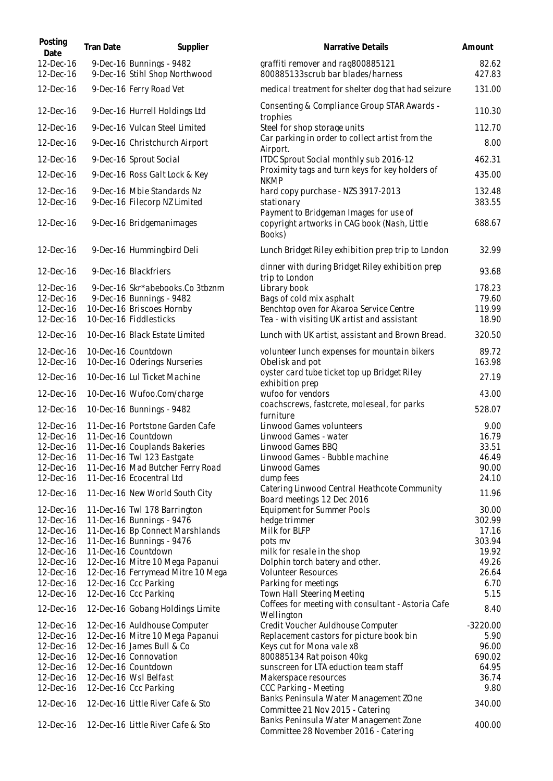| Posting<br>Date        | Tran Date | Supplier                                                       | Narrative Details                                                                      | Amount          |
|------------------------|-----------|----------------------------------------------------------------|----------------------------------------------------------------------------------------|-----------------|
| 12-Dec-16<br>12-Dec-16 |           | 9-Dec-16 Bunnings - 9482<br>9-Dec-16 Stihl Shop Northwood      | graffiti remover and rag800885121<br>800885133scrub bar blades/harness                 | 82.62<br>427.83 |
| 12-Dec-16              |           | 9-Dec-16 Ferry Road Vet                                        | medical treatment for shelter dog that had seizure                                     | 131.00          |
| 12-Dec-16              |           | 9-Dec-16 Hurrell Holdings Ltd                                  | Consenting & Compliance Group STAR Awards -<br>trophies                                | 110.30          |
| 12-Dec-16              |           | 9-Dec-16 Vulcan Steel Limited                                  | Steel for shop storage units                                                           | 112.70          |
| 12-Dec-16              |           | 9-Dec-16 Christchurch Airport                                  | Car parking in order to collect artist from the<br>Airport.                            | 8.00            |
| 12-Dec-16              |           | 9-Dec-16 Sprout Social                                         | ITDC Sprout Social monthly sub 2016-12                                                 | 462.31          |
| 12-Dec-16              |           | 9-Dec-16 Ross Galt Lock & Key                                  | Proximity tags and turn keys for key holders of<br><b>NKMP</b>                         | 435.00          |
| 12-Dec-16              |           | 9-Dec-16 Mbie Standards Nz                                     | hard copy purchase - NZS 3917-2013                                                     | 132.48          |
| 12-Dec-16              |           | 9-Dec-16 Filecorp NZ Limited                                   | stationary<br>Payment to Bridgeman Images for use of                                   | 383.55          |
| 12-Dec-16              |           | 9-Dec-16 Bridgemanimages                                       | copyright artworks in CAG book (Nash, Little<br>Books)                                 | 688.67          |
| 12-Dec-16              |           | 9-Dec-16 Hummingbird Deli                                      | Lunch Bridget Riley exhibition prep trip to London                                     | 32.99           |
| 12-Dec-16              |           | 9-Dec-16 Blackfriers                                           | dinner with during Bridget Riley exhibition prep<br>trip to London                     | 93.68           |
| 12-Dec-16              |           | 9-Dec-16 Skr*abebooks.Co 3tbznm                                | Library book                                                                           | 178.23          |
| 12-Dec-16              |           | 9-Dec-16 Bunnings - 9482                                       | Bags of cold mix asphalt                                                               | 79.60<br>119.99 |
| 12-Dec-16<br>12-Dec-16 |           | 10-Dec-16 Briscoes Hornby<br>10-Dec-16 Fiddlesticks            | Benchtop oven for Akaroa Service Centre<br>Tea - with visiting UK artist and assistant | 18.90           |
| 12-Dec-16              |           | 10-Dec-16 Black Estate Limited                                 | Lunch with UK artist, assistant and Brown Bread.                                       | 320.50          |
| 12-Dec-16              |           | 10-Dec-16 Countdown                                            | volunteer lunch expenses for mountain bikers                                           | 89.72           |
| 12-Dec-16              |           | 10-Dec-16 Oderings Nurseries                                   | Obelisk and pot                                                                        | 163.98          |
| 12-Dec-16              |           | 10-Dec-16 Lul Ticket Machine                                   | oyster card tube ticket top up Bridget Riley<br>exhibition prep                        | 27.19           |
| 12-Dec-16              |           | 10-Dec-16 Wufoo.Com/charge                                     | wufoo for vendors                                                                      | 43.00           |
| 12-Dec-16              |           | 10-Dec-16 Bunnings - 9482                                      | coachscrews, fastcrete, moleseal, for parks<br>furniture                               | 528.07          |
| 12-Dec-16              |           | 11-Dec-16 Portstone Garden Cafe                                | Linwood Games volunteers                                                               | 9.00            |
| 12-Dec-16              |           | 11-Dec-16 Countdown                                            | Linwood Games - water                                                                  | 16.79           |
| 12-Dec-16              |           | 11-Dec-16 Couplands Bakeries                                   | Linwood Games BBQ                                                                      | 33.51           |
| 12-Dec-16<br>12-Dec-16 |           | 11-Dec-16 Twl 123 Eastgate<br>11-Dec-16 Mad Butcher Ferry Road | Linwood Games - Bubble machine<br>Linwood Games                                        | 46.49<br>90.00  |
| 12-Dec-16              |           | 11-Dec-16 Ecocentral Ltd                                       | dump fees                                                                              | 24.10           |
| 12-Dec-16              |           |                                                                | Catering Linwood Central Heathcote Community                                           | 11.96           |
|                        |           | 11-Dec-16 New World South City                                 | Board meetings 12 Dec 2016                                                             |                 |
| 12-Dec-16              |           | 11-Dec-16 Twl 178 Barrington                                   | <b>Equipment for Summer Pools</b>                                                      | 30.00           |
| 12-Dec-16              |           | 11-Dec-16 Bunnings - 9476                                      | hedge trimmer                                                                          | 302.99          |
| 12-Dec-16              |           | 11-Dec-16 Bp Connect Marshlands                                | Milk for BLFP                                                                          | 17.16<br>303.94 |
| 12-Dec-16<br>12-Dec-16 |           | 11-Dec-16 Bunnings - 9476<br>11-Dec-16 Countdown               | pots mv<br>milk for resale in the shop                                                 | 19.92           |
| 12-Dec-16              |           | 12-Dec-16 Mitre 10 Mega Papanui                                | Dolphin torch batery and other.                                                        | 49.26           |
| 12-Dec-16              |           | 12-Dec-16 Ferrymead Mitre 10 Mega                              | <b>Volunteer Resources</b>                                                             | 26.64           |
| 12-Dec-16              |           | 12-Dec-16 Ccc Parking                                          | Parking for meetings                                                                   | 6.70            |
| 12-Dec-16              |           | 12-Dec-16 Ccc Parking                                          | Town Hall Steering Meeting                                                             | 5.15            |
| 12-Dec-16              |           | 12-Dec-16 Gobang Holdings Limite                               | Coffees for meeting with consultant - Astoria Cafe<br>Wellington                       | 8.40            |
| 12-Dec-16              |           | 12-Dec-16 Auldhouse Computer                                   | Credit Voucher Auldhouse Computer                                                      | $-3220.00$      |
| 12-Dec-16              |           | 12-Dec-16 Mitre 10 Mega Papanui                                | Replacement castors for picture book bin                                               | 5.90            |
| 12-Dec-16              |           | 12-Dec-16 James Bull & Co                                      | Keys cut for Mona vale x8                                                              | 96.00           |
| 12-Dec-16              |           | 12-Dec-16 Connovation                                          | 800885134 Rat poison 40kg                                                              | 690.02          |
| 12-Dec-16              |           | 12-Dec-16 Countdown                                            | sunscreen for LTA eduction team staff                                                  | 64.95           |
| 12-Dec-16              |           | 12-Dec-16 Wsl Belfast                                          | Makerspace resources                                                                   | 36.74           |
| 12-Dec-16              |           | 12-Dec-16 Ccc Parking                                          | CCC Parking - Meeting                                                                  | 9.80            |
| 12-Dec-16              |           | 12-Dec-16 Little River Cafe & Sto                              | Banks Peninsula Water Management ZOne<br>Committee 21 Nov 2015 - Catering              | 340.00          |
| 12-Dec-16              |           | 12-Dec-16 Little River Cafe & Sto                              | Banks Peninsula Water Management Zone<br>Committee 28 November 2016 - Catering         | 400.00          |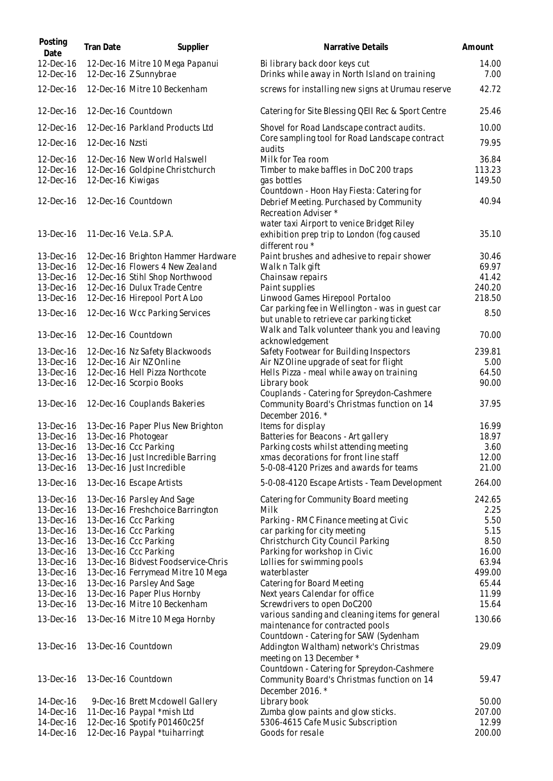| Posting<br>Date        | <b>Tran Date</b>  | Supplier                                                       | Narrative Details                                                                                            | Amount          |
|------------------------|-------------------|----------------------------------------------------------------|--------------------------------------------------------------------------------------------------------------|-----------------|
| 12-Dec-16<br>12-Dec-16 |                   | 12-Dec-16 Mitre 10 Mega Papanui<br>12-Dec-16 Z Sunnybrae       | Bi library back door keys cut<br>Drinks while away in North Island on training                               | 14.00<br>7.00   |
| 12-Dec-16              |                   | 12-Dec-16 Mitre 10 Beckenham                                   | screws for installing new signs at Urumau reserve                                                            | 42.72           |
| 12-Dec-16              |                   | 12-Dec-16 Countdown                                            | Catering for Site Blessing QEII Rec & Sport Centre                                                           | 25.46           |
| 12-Dec-16              |                   | 12-Dec-16 Parkland Products Ltd                                | Shovel for Road Landscape contract audits.                                                                   | 10.00           |
| 12-Dec-16              | 12-Dec-16 Nzsti   |                                                                | Core sampling tool for Road Landscape contract<br>audits                                                     | 79.95           |
| 12-Dec-16              |                   | 12-Dec-16 New World Halswell                                   | Milk for Tea room                                                                                            | 36.84           |
| 12-Dec-16              |                   | 12-Dec-16 Goldpine Christchurch                                | Timber to make baffles in DoC 200 traps                                                                      | 113.23          |
| 12-Dec-16              | 12-Dec-16 Kiwigas |                                                                | gas bottles                                                                                                  | 149.50          |
| 12-Dec-16              |                   | 12-Dec-16 Countdown                                            | Countdown - Hoon Hay Fiesta: Catering for<br>Debrief Meeting. Purchased by Community<br>Recreation Adviser * | 40.94           |
|                        |                   |                                                                | water taxi Airport to venice Bridget Riley                                                                   |                 |
| 13-Dec-16              |                   | 11-Dec-16 Ve.La. S.P.A.                                        | exhibition prep trip to London (fog caused<br>different rou *                                                | 35.10           |
| 13-Dec-16              |                   | 12-Dec-16 Brighton Hammer Hardware                             | Paint brushes and adhesive to repair shower                                                                  | 30.46           |
| 13-Dec-16              |                   | 12-Dec-16 Flowers 4 New Zealand                                | Walk n Talk gift                                                                                             | 69.97           |
| 13-Dec-16<br>13-Dec-16 |                   | 12-Dec-16 Stihl Shop Northwood<br>12-Dec-16 Dulux Trade Centre | Chainsaw repairs                                                                                             | 41.42<br>240.20 |
| 13-Dec-16              |                   | 12-Dec-16 Hirepool Port A Loo                                  | Paint supplies<br>Linwood Games Hirepool Portaloo                                                            | 218.50          |
| 13-Dec-16              |                   | 12-Dec-16 Wcc Parking Services                                 | Car parking fee in Wellington - was in guest car<br>but unable to retrieve car parking ticket                | 8.50            |
| 13-Dec-16              |                   | 12-Dec-16 Countdown                                            | Walk and Talk volunteer thank you and leaving<br>acknowledgement                                             | 70.00           |
| 13-Dec-16              |                   | 12-Dec-16 Nz Safety Blackwoods                                 | Safety Footwear for Building Inspectors                                                                      | 239.81          |
| 13-Dec-16              |                   | 12-Dec-16 Air NZ Online                                        | Air NZ Oline upgrade of seat for flight                                                                      | 5.00            |
| 13-Dec-16              |                   | 12-Dec-16 Hell Pizza Northcote                                 | Hells Pizza - meal while away on training                                                                    | 64.50           |
| 13-Dec-16              |                   | 12-Dec-16 Scorpio Books                                        | Library book                                                                                                 | 90.00           |
| 13-Dec-16              |                   | 12-Dec-16 Couplands Bakeries                                   | Couplands - Catering for Spreydon-Cashmere<br>Community Board's Christmas function on 14<br>December 2016.*  | 37.95           |
| 13-Dec-16              |                   | 13-Dec-16 Paper Plus New Brighton                              | Items for display                                                                                            | 16.99           |
| 13-Dec-16              |                   | 13-Dec-16 Photogear                                            | Batteries for Beacons - Art gallery                                                                          | 18.97           |
| 13-Dec-16              |                   | 13-Dec-16 Ccc Parking                                          | Parking costs whilst attending meeting                                                                       | 3.60            |
| 13-Dec-16              |                   | 13-Dec-16 Just Incredible Barring                              | xmas decorations for front line staff                                                                        | 12.00           |
| 13-Dec-16              |                   | 13-Dec-16 Just Incredible                                      | 5-0-08-4120 Prizes and awards for teams                                                                      | 21.00           |
| 13-Dec-16              |                   | 13-Dec-16 Escape Artists                                       | 5-0-08-4120 Escape Artists - Team Development                                                                | 264.00          |
| 13-Dec-16              |                   | 13-Dec-16 Parsley And Sage                                     | Catering for Community Board meeting                                                                         | 242.65          |
| 13-Dec-16              |                   | 13-Dec-16 Freshchoice Barrington                               | Milk                                                                                                         | 2.25            |
| 13-Dec-16              |                   | 13-Dec-16 Ccc Parking                                          | Parking - RMC Finance meeting at Civic                                                                       | 5.50            |
| 13-Dec-16<br>13-Dec-16 |                   | 13-Dec-16 Ccc Parking<br>13-Dec-16 Ccc Parking                 | car parking for city meeting<br>Christchurch City Council Parking                                            | 5.15<br>8.50    |
| 13-Dec-16              |                   | 13-Dec-16 Ccc Parking                                          | Parking for workshop in Civic                                                                                | 16.00           |
| 13-Dec-16              |                   | 13-Dec-16 Bidvest Foodservice-Chris                            | Lollies for swimming pools                                                                                   | 63.94           |
| 13-Dec-16              |                   | 13-Dec-16 Ferrymead Mitre 10 Mega                              | waterblaster                                                                                                 | 499.00          |
| 13-Dec-16              |                   | 13-Dec-16 Parsley And Sage                                     | Catering for Board Meeting                                                                                   | 65.44           |
| 13-Dec-16              |                   | 13-Dec-16 Paper Plus Hornby                                    | Next years Calendar for office                                                                               | 11.99           |
| 13-Dec-16              |                   | 13-Dec-16 Mitre 10 Beckenham                                   | Screwdrivers to open DoC200                                                                                  | 15.64           |
| 13-Dec-16              |                   | 13-Dec-16 Mitre 10 Mega Hornby                                 | various sanding and cleaning items for general<br>maintenance for contracted pools                           | 130.66          |
| 13-Dec-16              |                   | 13-Dec-16 Countdown                                            | Countdown - Catering for SAW (Sydenham<br>Addington Waltham) network's Christmas                             | 29.09           |
|                        |                   |                                                                | meeting on 13 December *<br>Countdown - Catering for Spreydon-Cashmere                                       |                 |
| 13-Dec-16              |                   | 13-Dec-16 Countdown                                            | Community Board's Christmas function on 14<br>December 2016.*                                                | 59.47           |
| 14-Dec-16              |                   | 9-Dec-16 Brett Mcdowell Gallery                                | Library book                                                                                                 | 50.00           |
| 14-Dec-16              |                   | 11-Dec-16 Paypal *mish Ltd                                     | Zumba glow paints and glow sticks.                                                                           | 207.00          |
| 14-Dec-16              |                   | 12-Dec-16 Spotify P01460c25f                                   | 5306-4615 Cafe Music Subscription                                                                            | 12.99           |
| 14-Dec-16              |                   | 12-Dec-16 Paypal *tuiharringt                                  | Goods for resale                                                                                             | 200.00          |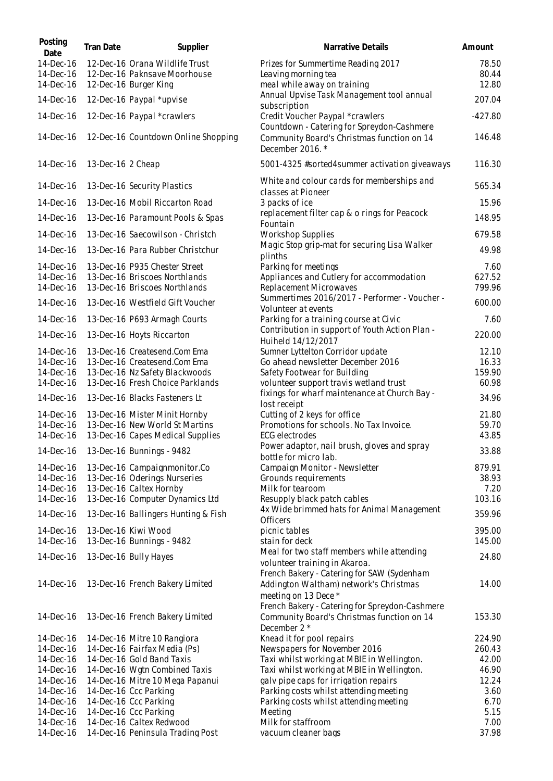| Posting<br>Date        | Tran Date         | Supplier                                                           | Narrative Details                                                                                            | Amount           |
|------------------------|-------------------|--------------------------------------------------------------------|--------------------------------------------------------------------------------------------------------------|------------------|
| 14-Dec-16<br>14-Dec-16 |                   | 12-Dec-16 Orana Wildlife Trust<br>12-Dec-16 Paknsave Moorhouse     | Prizes for Summertime Reading 2017<br>Leaving morning tea                                                    | 78.50<br>80.44   |
| 14-Dec-16<br>14-Dec-16 |                   | 12-Dec-16 Burger King<br>12-Dec-16 Paypal *upvise                  | meal while away on training<br>Annual Upvise Task Management tool annual                                     | 12.80<br>207.04  |
| 14-Dec-16              |                   | 12-Dec-16 Paypal *crawlers                                         | subscription<br>Credit Voucher Paypal *crawlers                                                              | $-427.80$        |
| 14-Dec-16              |                   | 12-Dec-16 Countdown Online Shopping                                | Countdown - Catering for Spreydon-Cashmere<br>Community Board's Christmas function on 14                     | 146.48           |
| 14-Dec-16              | 13-Dec-16 2 Cheap |                                                                    | December 2016.*<br>5001-4325 #sorted4summer activation giveaways                                             | 116.30           |
| 14-Dec-16              |                   | 13-Dec-16 Security Plastics                                        | White and colour cards for memberships and                                                                   | 565.34           |
| 14-Dec-16              |                   | 13-Dec-16 Mobil Riccarton Road                                     | classes at Pioneer<br>3 packs of ice                                                                         | 15.96            |
| 14-Dec-16              |                   | 13-Dec-16 Paramount Pools & Spas                                   | replacement filter cap & o rings for Peacock                                                                 | 148.95           |
| 14-Dec-16              |                   | 13-Dec-16 Saecowilson - Christch                                   | Fountain<br>Workshop Supplies                                                                                | 679.58           |
| 14-Dec-16              |                   | 13-Dec-16 Para Rubber Christchur                                   | Magic Stop grip-mat for securing Lisa Walker<br>plinths                                                      | 49.98            |
| 14-Dec-16              |                   | 13-Dec-16 P935 Chester Street                                      | Parking for meetings                                                                                         | 7.60             |
| 14-Dec-16<br>14-Dec-16 |                   | 13-Dec-16 Briscoes Northlands<br>13-Dec-16 Briscoes Northlands     | Appliances and Cutlery for accommodation<br>Replacement Microwaves                                           | 627.52<br>799.96 |
| 14-Dec-16              |                   | 13-Dec-16 Westfield Gift Voucher                                   | Summertimes 2016/2017 - Performer - Voucher -<br>Volunteer at events                                         | 600.00           |
| 14-Dec-16              |                   | 13-Dec-16 P693 Armagh Courts                                       | Parking for a training course at Civic                                                                       | 7.60             |
| 14-Dec-16              |                   | 13-Dec-16 Hoyts Riccarton                                          | Contribution in support of Youth Action Plan -<br>Huiheld 14/12/2017                                         | 220.00           |
| 14-Dec-16              |                   | 13-Dec-16 Createsend.Com Ema                                       | Sumner Lyttelton Corridor update                                                                             | 12.10            |
| 14-Dec-16              |                   | 13-Dec-16 Createsend.Com Ema                                       | Go ahead newsletter December 2016                                                                            | 16.33<br>159.90  |
| 14-Dec-16<br>14-Dec-16 |                   | 13-Dec-16 Nz Safety Blackwoods<br>13-Dec-16 Fresh Choice Parklands | Safety Footwear for Building<br>volunteer support travis wetland trust                                       | 60.98            |
| 14-Dec-16              |                   | 13-Dec-16 Blacks Fasteners Lt                                      | fixings for wharf maintenance at Church Bay -<br>lost receipt                                                | 34.96            |
| 14-Dec-16              |                   | 13-Dec-16 Mister Minit Hornby                                      | Cutting of 2 keys for office                                                                                 | 21.80            |
| 14-Dec-16              |                   | 13-Dec-16 New World St Martins                                     | Promotions for schools. No Tax Invoice.                                                                      | 59.70            |
| 14-Dec-16              |                   | 13-Dec-16 Capes Medical Supplies                                   | <b>ECG</b> electrodes                                                                                        | 43.85            |
|                        |                   | 14-Dec-16   13-Dec-16 Bunnings - 9482                              | Power adaptor, nail brush, gloves and spray<br>bottle for micro lab.                                         | 33.88            |
| 14-Dec-16              |                   | 13-Dec-16 Campaignmonitor.Co                                       | Campaign Monitor - Newsletter                                                                                | 879.91           |
| 14-Dec-16              |                   | 13-Dec-16 Oderings Nurseries                                       | Grounds requirements                                                                                         | 38.93            |
| 14-Dec-16<br>14-Dec-16 |                   | 13-Dec-16 Caltex Hornby<br>13-Dec-16 Computer Dynamics Ltd         | Milk for tearoom                                                                                             | 7.20<br>103.16   |
|                        |                   |                                                                    | Resupply black patch cables<br>4x Wide brimmed hats for Animal Management                                    |                  |
| 14-Dec-16              |                   | 13-Dec-16 Ballingers Hunting & Fish                                | Officers                                                                                                     | 359.96           |
| 14-Dec-16              |                   | 13-Dec-16 Kiwi Wood                                                | picnic tables                                                                                                | 395.00           |
| 14-Dec-16              |                   | 13-Dec-16 Bunnings - 9482                                          | stain for deck<br>Meal for two staff members while attending                                                 | 145.00           |
| 14-Dec-16              |                   | 13-Dec-16 Bully Hayes                                              | volunteer training in Akaroa.<br>French Bakery - Catering for SAW (Sydenham                                  | 24.80            |
| 14-Dec-16              |                   | 13-Dec-16 French Bakery Limited                                    | Addington Waltham) network's Christmas<br>meeting on 13 Dece *                                               | 14.00            |
| 14-Dec-16              |                   | 13-Dec-16 French Bakery Limited                                    | French Bakery - Catering for Spreydon-Cashmere<br>Community Board's Christmas function on 14<br>December 2 * | 153.30           |
| 14-Dec-16              |                   | 14-Dec-16 Mitre 10 Rangiora                                        | Knead it for pool repairs                                                                                    | 224.90           |
| 14-Dec-16              |                   | 14-Dec-16 Fairfax Media (Ps)                                       | Newspapers for November 2016                                                                                 | 260.43           |
| 14-Dec-16              |                   | 14-Dec-16 Gold Band Taxis                                          | Taxi whilst working at MBIE in Wellington.                                                                   | 42.00            |
| 14-Dec-16              |                   | 14-Dec-16 Wgtn Combined Taxis                                      | Taxi whilst working at MBIE in Wellington.                                                                   | 46.90            |
| 14-Dec-16              |                   | 14-Dec-16 Mitre 10 Mega Papanui                                    | galv pipe caps for irrigation repairs                                                                        | 12.24            |
| 14-Dec-16<br>14-Dec-16 |                   | 14-Dec-16 Ccc Parking<br>14-Dec-16 Ccc Parking                     | Parking costs whilst attending meeting<br>Parking costs whilst attending meeting                             | 3.60<br>6.70     |
| 14-Dec-16              |                   | 14-Dec-16 Ccc Parking                                              | Meeting                                                                                                      | 5.15             |
| 14-Dec-16              |                   | 14-Dec-16 Caltex Redwood                                           | Milk for staffroom                                                                                           | 7.00             |
| 14-Dec-16              |                   | 14-Dec-16 Peninsula Trading Post                                   | vacuum cleaner bags                                                                                          | 37.98            |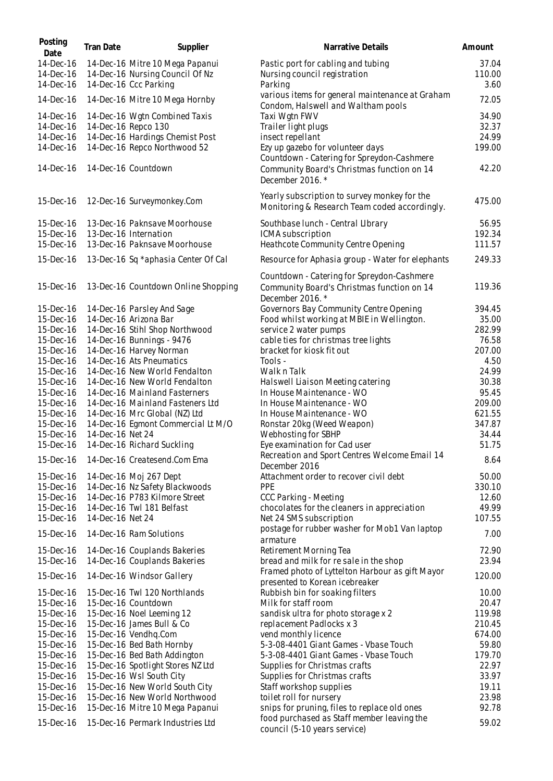| Posting<br>Date                     | Tran Date        | Supplier                                                                                    | Narrative Details                                                                                           | Amount                  |
|-------------------------------------|------------------|---------------------------------------------------------------------------------------------|-------------------------------------------------------------------------------------------------------------|-------------------------|
| 14-Dec-16<br>14-Dec-16<br>14-Dec-16 |                  | 14-Dec-16 Mitre 10 Mega Papanui<br>14-Dec-16 Nursing Council Of Nz<br>14-Dec-16 Ccc Parking | Pastic port for cabling and tubing<br>Nursing council registration<br>Parking                               | 37.04<br>110.00<br>3.60 |
| 14-Dec-16                           |                  | 14-Dec-16 Mitre 10 Mega Hornby                                                              | various items for general maintenance at Graham<br>Condom, Halswell and Waltham pools                       | 72.05                   |
| 14-Dec-16                           |                  | 14-Dec-16 Wgtn Combined Taxis                                                               | Taxi Wgtn FWV                                                                                               | 34.90                   |
| 14-Dec-16                           |                  | 14-Dec-16 Repco 130                                                                         | Trailer light plugs                                                                                         | 32.37                   |
| 14-Dec-16                           |                  | 14-Dec-16 Hardings Chemist Post                                                             | insect repellant                                                                                            | 24.99                   |
| 14-Dec-16                           |                  | 14-Dec-16 Repco Northwood 52                                                                | Ezy up gazebo for volunteer days                                                                            | 199.00                  |
| 14-Dec-16                           |                  | 14-Dec-16 Countdown                                                                         | Countdown - Catering for Spreydon-Cashmere<br>Community Board's Christmas function on 14<br>December 2016.* | 42.20                   |
| 15-Dec-16                           |                  | 12-Dec-16 Surveymonkey.Com                                                                  | Yearly subscription to survey monkey for the<br>Monitoring & Research Team coded accordingly.               | 475.00                  |
| 15-Dec-16                           |                  | 13-Dec-16 Paknsave Moorhouse                                                                | Southbase lunch - Central Library                                                                           | 56.95                   |
| 15-Dec-16                           |                  | 13-Dec-16 Internation                                                                       | ICMA subscription                                                                                           | 192.34                  |
| 15-Dec-16                           |                  | 13-Dec-16 Paknsave Moorhouse                                                                | Heathcote Community Centre Opening                                                                          | 111.57                  |
| 15-Dec-16                           |                  | 13-Dec-16 Sq *aphasia Center Of Cal                                                         | Resource for Aphasia group - Water for elephants                                                            | 249.33                  |
| 15-Dec-16                           |                  | 13-Dec-16 Countdown Online Shopping                                                         | Countdown - Catering for Spreydon-Cashmere<br>Community Board's Christmas function on 14<br>December 2016.* | 119.36                  |
| 15-Dec-16                           |                  | 14-Dec-16 Parsley And Sage                                                                  | Governors Bay Community Centre Opening                                                                      | 394.45                  |
| 15-Dec-16                           |                  | 14-Dec-16 Arizona Bar                                                                       | Food whilst working at MBIE in Wellington.                                                                  | 35.00                   |
| 15-Dec-16<br>15-Dec-16              |                  | 14-Dec-16 Stihl Shop Northwood                                                              | service 2 water pumps<br>cable ties for christmas tree lights                                               | 282.99<br>76.58         |
| 15-Dec-16                           |                  | 14-Dec-16 Bunnings - 9476<br>14-Dec-16 Harvey Norman                                        | bracket for kiosk fit out                                                                                   | 207.00                  |
| 15-Dec-16                           |                  | 14-Dec-16 Ats Pneumatics                                                                    | Tools -                                                                                                     | 4.50                    |
| 15-Dec-16                           |                  | 14-Dec-16 New World Fendalton                                                               | Walk n Talk                                                                                                 | 24.99                   |
| 15-Dec-16                           |                  | 14-Dec-16 New World Fendalton                                                               | Halswell Liaison Meeting catering                                                                           | 30.38                   |
| 15-Dec-16                           |                  | 14-Dec-16 Mainland Fasterners                                                               | In House Maintenance - WO                                                                                   | 95.45                   |
| 15-Dec-16<br>15-Dec-16              |                  | 14-Dec-16 Mainland Fasteners Ltd<br>14-Dec-16 Mrc Global (NZ) Ltd                           | In House Maintenance - WO<br>In House Maintenance - WO                                                      | 209.00<br>621.55        |
| 15-Dec-16                           |                  | 14-Dec-16 Egmont Commercial Lt M/O                                                          | Ronstar 20kg (Weed Weapon)                                                                                  | 347.87                  |
| 15-Dec-16                           | 14-Dec-16 Net 24 |                                                                                             | Webhosting for SBHP                                                                                         | 34.44                   |
| 15-Dec-16                           |                  | 14-Dec-16 Richard Suckling                                                                  | Eye examination for Cad user                                                                                | 51.75                   |
| 15-Dec-16                           |                  | 14-Dec-16 Createsend.Com Ema                                                                | Recreation and Sport Centres Welcome Email 14<br>December 2016                                              | 8.64                    |
| 15-Dec-16                           |                  | 14-Dec-16 Moj 267 Dept                                                                      | Attachment order to recover civil debt                                                                      | 50.00                   |
| 15-Dec-16                           |                  | 14-Dec-16 Nz Safety Blackwoods                                                              | <b>PPE</b>                                                                                                  | 330.10                  |
| 15-Dec-16                           |                  | 14-Dec-16 P783 Kilmore Street                                                               | CCC Parking - Meeting                                                                                       | 12.60                   |
| 15-Dec-16                           |                  | 14-Dec-16 Twl 181 Belfast                                                                   | chocolates for the cleaners in appreciation<br>Net 24 SMS subscription                                      | 49.99<br>107.55         |
| 15-Dec-16<br>15-Dec-16              | 14-Dec-16 Net 24 | 14-Dec-16 Ram Solutions                                                                     | postage for rubber washer for Mob1 Van laptop                                                               | 7.00                    |
| 15-Dec-16                           |                  | 14-Dec-16 Couplands Bakeries                                                                | armature<br>Retirement Morning Tea                                                                          | 72.90                   |
| 15-Dec-16                           |                  | 14-Dec-16 Couplands Bakeries                                                                | bread and milk for resale in the shop                                                                       | 23.94                   |
| 15-Dec-16                           |                  | 14-Dec-16 Windsor Gallery                                                                   | Framed photo of Lyttelton Harbour as gift Mayor<br>presented to Korean icebreaker                           | 120.00                  |
| 15-Dec-16                           |                  | 15-Dec-16 Twl 120 Northlands                                                                | Rubbish bin for soaking filters                                                                             | 10.00                   |
| 15-Dec-16                           |                  | 15-Dec-16 Countdown                                                                         | Milk for staff room                                                                                         | 20.47                   |
| 15-Dec-16                           |                  | 15-Dec-16 Noel Leeming 12                                                                   | sandisk ultra for photo storage x 2                                                                         | 119.98                  |
| 15-Dec-16                           |                  | 15-Dec-16 James Bull & Co                                                                   | replacement Padlocks x 3                                                                                    | 210.45                  |
| 15-Dec-16<br>15-Dec-16              |                  | 15-Dec-16 Vendhq.Com<br>15-Dec-16 Bed Bath Hornby                                           | vend monthly licence<br>5-3-08-4401 Giant Games - Vbase Touch                                               | 674.00<br>59.80         |
| 15-Dec-16                           |                  | 15-Dec-16 Bed Bath Addington                                                                | 5-3-08-4401 Giant Games - Vbase Touch                                                                       | 179.70                  |
| 15-Dec-16                           |                  | 15-Dec-16 Spotlight Stores NZ Ltd                                                           | Supplies for Christmas crafts                                                                               | 22.97                   |
| 15-Dec-16                           |                  | 15-Dec-16 Wsl South City                                                                    | Supplies for Christmas crafts                                                                               | 33.97                   |
| 15-Dec-16                           |                  | 15-Dec-16 New World South City                                                              | Staff workshop supplies                                                                                     | 19.11                   |
| 15-Dec-16                           |                  | 15-Dec-16 New World Northwood                                                               | toilet roll for nursery                                                                                     | 23.98                   |
| 15-Dec-16                           |                  | 15-Dec-16 Mitre 10 Mega Papanui                                                             | snips for pruning, files to replace old ones<br>food purchased as Staff member leaving the                  | 92.78                   |
| 15-Dec-16                           |                  | 15-Dec-16 Permark Industries Ltd                                                            | council (5-10 years service)                                                                                | 59.02                   |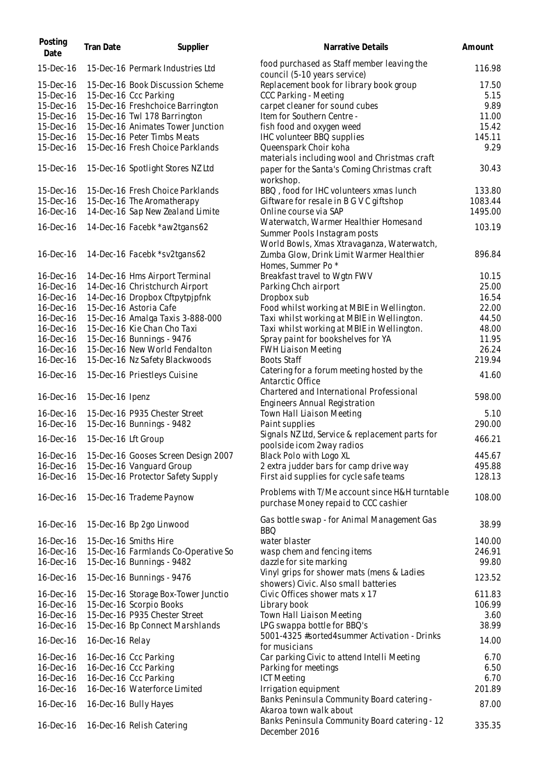| Posting<br>Date        | Tran Date           | Supplier                            | Narrative Details                                                                            | Amount         |
|------------------------|---------------------|-------------------------------------|----------------------------------------------------------------------------------------------|----------------|
| 15-Dec-16              |                     | 15-Dec-16 Permark Industries Ltd    | food purchased as Staff member leaving the<br>council (5-10 years service)                   | 116.98         |
| 15-Dec-16              |                     | 15-Dec-16 Book Discussion Scheme    | Replacement book for library book group                                                      | 17.50          |
| 15-Dec-16              |                     | 15-Dec-16 Ccc Parking               | CCC Parking - Meeting                                                                        | 5.15           |
| 15-Dec-16              |                     | 15-Dec-16 Freshchoice Barrington    | carpet cleaner for sound cubes                                                               | 9.89           |
| 15-Dec-16              |                     | 15-Dec-16 Twl 178 Barrington        | Item for Southern Centre -                                                                   | 11.00          |
| 15-Dec-16              |                     | 15-Dec-16 Animates Tower Junction   | fish food and oxygen weed                                                                    | 15.42          |
| 15-Dec-16              |                     | 15-Dec-16 Peter Timbs Meats         | IHC volunteer BBQ supplies                                                                   | 145.11         |
| 15-Dec-16              |                     | 15-Dec-16 Fresh Choice Parklands    | Queenspark Choir koha                                                                        | 9.29           |
| 15-Dec-16              |                     | 15-Dec-16 Spotlight Stores NZ Ltd   | materials including wool and Christmas craft<br>paper for the Santa's Coming Christmas craft | 30.43          |
|                        |                     |                                     | workshop.                                                                                    |                |
| 15-Dec-16              |                     | 15-Dec-16 Fresh Choice Parklands    | BBQ, food for IHC volunteers xmas lunch                                                      | 133.80         |
| 15-Dec-16              |                     | 15-Dec-16 The Aromatherapy          | Giftware for resale in B G V C giftshop                                                      | 1083.44        |
| 16-Dec-16              |                     | 14-Dec-16 Sap New Zealand Limite    | Online course via SAP                                                                        | 1495.00        |
| 16-Dec-16              |                     | 14-Dec-16 Facebk *aw2tgans62        | Waterwatch, Warmer Healthier Homesand<br>Summer Pools Instagram posts                        | 103.19         |
| 16-Dec-16              |                     | 14-Dec-16 Facebk *sv2tgans62        | World Bowls, Xmas Xtravaganza, Waterwatch,<br>Zumba Glow, Drink Limit Warmer Healthier       | 896.84         |
|                        |                     | 14-Dec-16 Hms Airport Terminal      | Homes, Summer Po <sup>*</sup>                                                                |                |
| 16-Dec-16              |                     | 14-Dec-16 Christchurch Airport      | Breakfast travel to Wgtn FWV                                                                 | 10.15<br>25.00 |
| 16-Dec-16<br>16-Dec-16 |                     | 14-Dec-16 Dropbox Cftpytpjpfnk      | Parking Chch airport<br>Dropbox sub                                                          | 16.54          |
| 16-Dec-16              |                     | 15-Dec-16 Astoria Cafe              | Food whilst working at MBIE in Wellington.                                                   | 22.00          |
| 16-Dec-16              |                     | 15-Dec-16 Amalga Taxis 3-888-000    | Taxi whilst working at MBIE in Wellington.                                                   | 44.50          |
| 16-Dec-16              |                     | 15-Dec-16 Kie Chan Cho Taxi         | Taxi whilst working at MBIE in Wellington.                                                   | 48.00          |
| 16-Dec-16              |                     | 15-Dec-16 Bunnings - 9476           | Spray paint for bookshelves for YA                                                           | 11.95          |
| 16-Dec-16              |                     | 15-Dec-16 New World Fendalton       | <b>FWH Liaison Meeting</b>                                                                   | 26.24          |
| 16-Dec-16              |                     | 15-Dec-16 Nz Safety Blackwoods      | <b>Boots Staff</b>                                                                           | 219.94         |
| 16-Dec-16              |                     | 15-Dec-16 Priestleys Cuisine        | Catering for a forum meeting hosted by the<br>Antarctic Office                               | 41.60          |
| 16-Dec-16              | 15-Dec-16 Ipenz     |                                     | Chartered and International Professional<br>Engineers Annual Registration                    | 598.00         |
| 16-Dec-16              |                     | 15-Dec-16 P935 Chester Street       | Town Hall Liaison Meeting                                                                    | 5.10           |
| 16-Dec-16              |                     | 15-Dec-16 Bunnings - 9482           | Paint supplies                                                                               | 290.00         |
|                        |                     |                                     | Signals NZ Ltd, Service & replacement parts for                                              |                |
| 16-Dec-16              | 15-Dec-16 Lft Group |                                     | poolside icom 2way radios                                                                    | 466.21         |
| 16-Dec-16              |                     | 15-Dec-16 Gooses Screen Design 2007 | Black Polo with Logo XL                                                                      | 445.67         |
| 16-Dec-16              |                     | 15-Dec-16 Vanguard Group            | 2 extra judder bars for camp drive way                                                       | 495.88         |
| 16-Dec-16              |                     | 15-Dec-16 Protector Safety Supply   | First aid supplies for cycle safe teams                                                      | 128.13         |
| 16-Dec-16              |                     | 15-Dec-16 Trademe Paynow            | Problems with T/Me account since H&H turntable<br>purchase Money repaid to CCC cashier       | 108.00         |
| 16-Dec-16              |                     | 15-Dec-16 Bp 2go Linwood            | Gas bottle swap - for Animal Management Gas                                                  | 38.99          |
| 16-Dec-16              |                     | 15-Dec-16 Smiths Hire               | <b>BBQ</b><br>water blaster                                                                  | 140.00         |
| 16-Dec-16              |                     | 15-Dec-16 Farmlands Co-Operative So | wasp chem and fencing items                                                                  | 246.91         |
| 16-Dec-16              |                     | 15-Dec-16 Bunnings - 9482           | dazzle for site marking                                                                      | 99.80          |
| 16-Dec-16              |                     | 15-Dec-16 Bunnings - 9476           | Vinyl grips for shower mats (mens & Ladies<br>showers) Civic. Also small batteries           | 123.52         |
| 16-Dec-16              |                     | 15-Dec-16 Storage Box-Tower Junctio | Civic Offices shower mats x 17                                                               | 611.83         |
| 16-Dec-16              |                     | 15-Dec-16 Scorpio Books             | Library book                                                                                 | 106.99         |
| 16-Dec-16              |                     | 15-Dec-16 P935 Chester Street       | Town Hall Liaison Meeting                                                                    | 3.60           |
| 16-Dec-16              |                     | 15-Dec-16 Bp Connect Marshlands     | LPG swappa bottle for BBQ's                                                                  | 38.99          |
| 16-Dec-16              | 16-Dec-16 Relay     |                                     | 5001-4325 #sorted4summer Activation - Drinks<br>for musicians                                | 14.00          |
| 16-Dec-16              |                     | 16-Dec-16 Ccc Parking               | Car parking Civic to attend Intelli Meeting                                                  | 6.70           |
| 16-Dec-16              |                     | 16-Dec-16 Ccc Parking               | Parking for meetings                                                                         | 6.50           |
| 16-Dec-16              |                     | 16-Dec-16 Ccc Parking               | <b>ICT Meeting</b>                                                                           | 6.70           |
| 16-Dec-16              |                     | 16-Dec-16 Waterforce Limited        | Irrigation equipment                                                                         | 201.89         |
| 16-Dec-16              |                     | 16-Dec-16 Bully Hayes               | Banks Peninsula Community Board catering -<br>Akaroa town walk about                         | 87.00          |
| 16-Dec-16              |                     | 16-Dec-16 Relish Catering           | Banks Peninsula Community Board catering - 12<br>December 2016                               | 335.35         |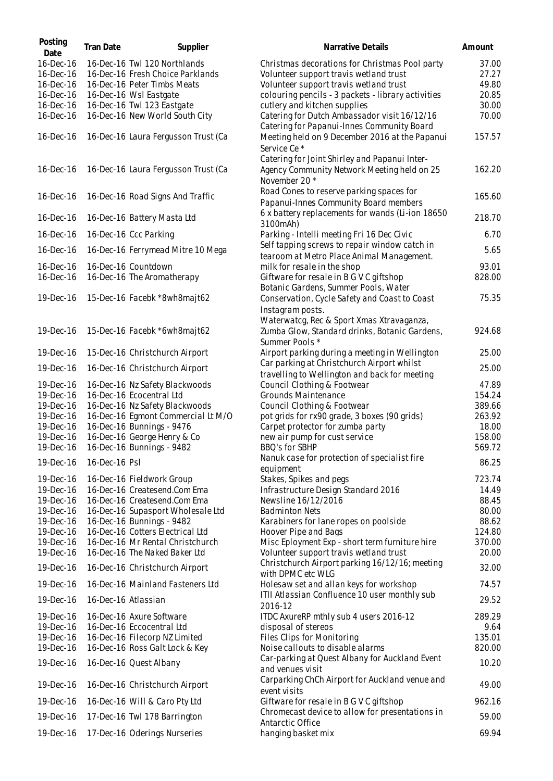| Posting<br>Date | Tran Date           | Supplier                            | Narrative Details                                                                                             | Amount |
|-----------------|---------------------|-------------------------------------|---------------------------------------------------------------------------------------------------------------|--------|
| 16-Dec-16       |                     | 16-Dec-16 Twl 120 Northlands        | Christmas decorations for Christmas Pool party                                                                | 37.00  |
| 16-Dec-16       |                     | 16-Dec-16 Fresh Choice Parklands    | Volunteer support travis wetland trust                                                                        | 27.27  |
| 16-Dec-16       |                     | 16-Dec-16 Peter Timbs Meats         | Volunteer support travis wetland trust                                                                        | 49.80  |
| 16-Dec-16       |                     | 16-Dec-16 Wsl Eastgate              | colouring pencils - 3 packets - library activities                                                            | 20.85  |
| 16-Dec-16       |                     | 16-Dec-16 Twl 123 Eastgate          | cutlery and kitchen supplies                                                                                  | 30.00  |
| 16-Dec-16       |                     | 16-Dec-16 New World South City      | Catering for Dutch Ambassador visit 16/12/16                                                                  | 70.00  |
| 16-Dec-16       |                     | 16-Dec-16 Laura Fergusson Trust (Ca | Catering for Papanui-Innes Community Board<br>Meeting held on 9 December 2016 at the Papanui<br>Service Ce*   | 157.57 |
| 16-Dec-16       |                     | 16-Dec-16 Laura Fergusson Trust (Ca | Catering for Joint Shirley and Papanui Inter-<br>Agency Community Network Meeting held on 25<br>November 20 * | 162.20 |
| 16-Dec-16       |                     | 16-Dec-16 Road Signs And Traffic    | Road Cones to reserve parking spaces for<br>Papanui-Innes Community Board members                             | 165.60 |
| 16-Dec-16       |                     | 16-Dec-16 Battery Masta Ltd         | 6 x battery replacements for wands (Li-ion 18650<br>3100mAh)                                                  | 218.70 |
| 16-Dec-16       |                     | 16-Dec-16 Ccc Parking               | Parking - Intelli meeting Fri 16 Dec Civic                                                                    | 6.70   |
| 16-Dec-16       |                     | 16-Dec-16 Ferrymead Mitre 10 Mega   | Self tapping screws to repair window catch in<br>tearoom at Metro Place Animal Management.                    | 5.65   |
| 16-Dec-16       |                     | 16-Dec-16 Countdown                 | milk for resale in the shop                                                                                   | 93.01  |
| 16-Dec-16       |                     | 16-Dec-16 The Aromatherapy          | Giftware for resale in B G V C giftshop<br>Botanic Gardens, Summer Pools, Water                               | 828.00 |
| 19-Dec-16       |                     | 15-Dec-16 Facebk *8wh8majt62        | Conservation, Cycle Safety and Coast to Coast<br>Instagram posts.                                             | 75.35  |
| 19-Dec-16       |                     | 15-Dec-16 Facebk *6wh8majt62        | Waterwatcg, Rec & Sport Xmas Xtravaganza,<br>Zumba Glow, Standard drinks, Botanic Gardens,<br>Summer Pools *  | 924.68 |
| 19-Dec-16       |                     | 15-Dec-16 Christchurch Airport      | Airport parking during a meeting in Wellington                                                                | 25.00  |
| 19-Dec-16       |                     | 16-Dec-16 Christchurch Airport      | Car parking at Christchurch Airport whilst<br>travelling to Wellington and back for meeting                   | 25.00  |
| 19-Dec-16       |                     | 16-Dec-16 Nz Safety Blackwoods      | Council Clothing & Footwear                                                                                   | 47.89  |
| 19-Dec-16       |                     | 16-Dec-16 Ecocentral Ltd            | Grounds Maintenance                                                                                           | 154.24 |
| 19-Dec-16       |                     | 16-Dec-16 Nz Safety Blackwoods      | Council Clothing & Footwear                                                                                   | 389.66 |
| 19-Dec-16       |                     | 16-Dec-16 Egmont Commercial Lt M/O  | pot grids for rx90 grade, 3 boxes (90 grids)                                                                  | 263.92 |
| 19-Dec-16       |                     | 16-Dec-16 Bunnings - 9476           | Carpet protector for zumba party                                                                              | 18.00  |
| 19-Dec-16       |                     | 16-Dec-16 George Henry & Co         | new air pump for cust service                                                                                 | 158.00 |
| 19-Dec-16       |                     | 16-Dec-16 Bunnings - 9482           | BBQ's for SBHP                                                                                                | 569.72 |
| 19-Dec-16       | 16-Dec-16 Psl       |                                     | Nanuk case for protection of specialist fire<br>equipment                                                     | 86.25  |
| 19-Dec-16       |                     | 16-Dec-16 Fieldwork Group           | Stakes, Spikes and pegs                                                                                       | 723.74 |
| 19-Dec-16       |                     | 16-Dec-16 Createsend.Com Ema        | Infrastructure Design Standard 2016                                                                           | 14.49  |
| 19-Dec-16       |                     | 16-Dec-16 Createsend.Com Ema        | Newsline 16/12/2016                                                                                           | 88.45  |
| 19-Dec-16       |                     | 16-Dec-16 Supasport Wholesale Ltd   | <b>Badminton Nets</b>                                                                                         | 80.00  |
| 19-Dec-16       |                     | 16-Dec-16 Bunnings - 9482           | Karabiners for lane ropes on poolside                                                                         | 88.62  |
| 19-Dec-16       |                     | 16-Dec-16 Cotters Electrical Ltd    | Hoover Pipe and Bags                                                                                          | 124.80 |
| 19-Dec-16       |                     | 16-Dec-16 Mr Rental Christchurch    | Misc Eployment Exp - short term furniture hire                                                                | 370.00 |
| 19-Dec-16       |                     | 16-Dec-16 The Naked Baker Ltd       | Volunteer support travis wetland trust                                                                        | 20.00  |
| 19-Dec-16       |                     | 16-Dec-16 Christchurch Airport      | Christchurch Airport parking 16/12/16; meeting<br>with DPMC etc WLG                                           | 32.00  |
| 19-Dec-16       |                     | 16-Dec-16 Mainland Fasteners Ltd    | Holesaw set and allan keys for workshop                                                                       | 74.57  |
| 19-Dec-16       | 16-Dec-16 Atlassian |                                     | ITII Atlassian Confluence 10 user monthly sub<br>2016-12                                                      | 29.52  |
| 19-Dec-16       |                     | 16-Dec-16 Axure Software            | ITDC AxureRP mthly sub 4 users 2016-12                                                                        | 289.29 |
| 19-Dec-16       |                     | 16-Dec-16 Eccocentral Ltd           | disposal of stereos                                                                                           | 9.64   |
| 19-Dec-16       |                     | 16-Dec-16 Filecorp NZ Limited       | Files Clips for Monitoring                                                                                    | 135.01 |
| 19-Dec-16       |                     | 16-Dec-16 Ross Galt Lock & Key      | Noise callouts to disable alarms                                                                              | 820.00 |
| 19-Dec-16       |                     | 16-Dec-16 Quest Albany              | Car-parking at Quest Albany for Auckland Event<br>and venues visit                                            | 10.20  |
| 19-Dec-16       |                     | 16-Dec-16 Christchurch Airport      | Carparking ChCh Airport for Auckland venue and<br>event visits                                                | 49.00  |
| 19-Dec-16       |                     | 16-Dec-16 Will & Caro Pty Ltd       | Giftware for resale in B G V C giftshop                                                                       | 962.16 |
| 19-Dec-16       |                     | 17-Dec-16 Twl 178 Barrington        | Chromecast device to allow for presentations in                                                               | 59.00  |
| 19-Dec-16       |                     | 17-Dec-16 Oderings Nurseries        | Antarctic Office<br>hanging basket mix                                                                        | 69.94  |
|                 |                     |                                     |                                                                                                               |        |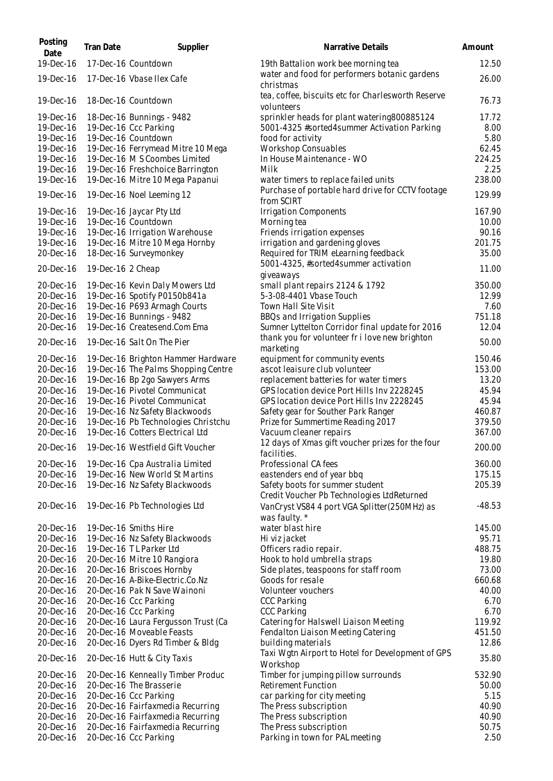| Posting<br>Date        | Tran Date         | Supplier                                                           | Narrative Details                                                             | Amount          |
|------------------------|-------------------|--------------------------------------------------------------------|-------------------------------------------------------------------------------|-----------------|
| 19-Dec-16              |                   | 17-Dec-16 Countdown                                                | 19th Battalion work bee morning tea                                           | 12.50           |
| 19-Dec-16              |                   | 17-Dec-16 Vbase Ilex Cafe                                          | water and food for performers botanic gardens<br>christmas                    | 26.00           |
| 19-Dec-16              |                   | 18-Dec-16 Countdown                                                | tea, coffee, biscuits etc for Charlesworth Reserve<br>volunteers              | 76.73           |
| 19-Dec-16              |                   | 18-Dec-16 Bunnings - 9482                                          | sprinkler heads for plant watering800885124                                   | 17.72           |
| 19-Dec-16              |                   | 19-Dec-16 Ccc Parking                                              | 5001-4325 #sorted4summer Activation Parking                                   | 8.00            |
| 19-Dec-16              |                   | 19-Dec-16 Countdown                                                | food for activity                                                             | 5.80            |
| 19-Dec-16              |                   | 19-Dec-16 Ferrymead Mitre 10 Mega<br>19-Dec-16 M S Coombes Limited | <b>Workshop Consuables</b><br>In House Maintenance - WO                       | 62.45           |
| 19-Dec-16<br>19-Dec-16 |                   | 19-Dec-16 Freshchoice Barrington                                   | Milk                                                                          | 224.25<br>2.25  |
| 19-Dec-16              |                   | 19-Dec-16 Mitre 10 Mega Papanui                                    | water timers to replace failed units                                          | 238.00          |
| 19-Dec-16              |                   | 19-Dec-16 Noel Leeming 12                                          | Purchase of portable hard drive for CCTV footage<br>from SCIRT                | 129.99          |
| 19-Dec-16              |                   | 19-Dec-16 Jaycar Pty Ltd                                           | <b>Irrigation Components</b>                                                  | 167.90          |
| 19-Dec-16              |                   | 19-Dec-16 Countdown                                                | Morning tea                                                                   | 10.00           |
| 19-Dec-16              |                   | 19-Dec-16 Irrigation Warehouse                                     | Friends irrigation expenses                                                   | 90.16           |
| 19-Dec-16              |                   | 19-Dec-16 Mitre 10 Mega Hornby                                     | irrigation and gardening gloves                                               | 201.75          |
| 20-Dec-16              |                   | 18-Dec-16 Surveymonkey                                             | Required for TRIM eLearning feedback                                          | 35.00           |
| 20-Dec-16              | 19-Dec-16 2 Cheap |                                                                    | 5001-4325, #sorted4summer activation                                          | 11.00           |
| 20-Dec-16              |                   | 19-Dec-16 Kevin Daly Mowers Ltd                                    | giveaways<br>small plant repairs 2124 & 1792                                  | 350.00          |
| 20-Dec-16              |                   | 19-Dec-16 Spotify P0150b841a                                       | 5-3-08-4401 Vbase Touch                                                       | 12.99           |
| 20-Dec-16              |                   | 19-Dec-16 P693 Armagh Courts                                       | Town Hall Site Visit                                                          | 7.60            |
| 20-Dec-16              |                   | 19-Dec-16 Bunnings - 9482                                          | BBQs and Irrigation Supplies                                                  | 751.18          |
| 20-Dec-16              |                   | 19-Dec-16 Createsend.Com Ema                                       | Sumner Lyttelton Corridor final update for 2016                               | 12.04           |
| 20-Dec-16              |                   | 19-Dec-16 Salt On The Pier                                         | thank you for volunteer fr i love new brighton<br>marketing                   | 50.00           |
| 20-Dec-16              |                   | 19-Dec-16 Brighton Hammer Hardware                                 | equipment for community events                                                | 150.46          |
| 20-Dec-16              |                   | 19-Dec-16 The Palms Shopping Centre                                | ascot leaisure club volunteer                                                 | 153.00          |
| 20-Dec-16              |                   | 19-Dec-16 Bp 2go Sawyers Arms                                      | replacement batteries for water timers                                        | 13.20           |
| 20-Dec-16              |                   | 19-Dec-16 Pivotel Communicat                                       | GPS location device Port Hills Inv 2228245                                    | 45.94           |
| 20-Dec-16              |                   | 19-Dec-16 Pivotel Communicat                                       | GPS location device Port Hills Inv 2228245                                    | 45.94           |
| 20-Dec-16              |                   | 19-Dec-16 Nz Safety Blackwoods                                     | Safety gear for Souther Park Ranger                                           | 460.87          |
| 20-Dec-16              |                   | 19-Dec-16 Pb Technologies Christchu                                | Prize for Summertime Reading 2017                                             | 379.50          |
| 20-Dec-16              |                   | 19-Dec-16 Cotters Electrical Ltd                                   | Vacuum cleaner repairs<br>12 days of Xmas gift voucher prizes for the four    | 367.00          |
| 20-Dec-16              |                   | 19-Dec-16 Westfield Gift Voucher                                   | facilities.                                                                   | 200.00          |
| 20-Dec-16              |                   | 19-Dec-16 Cpa Australia Limited                                    | Professional CA fees                                                          | 360.00          |
| 20-Dec-16              |                   | 19-Dec-16 New World St Martins                                     | eastenders end of year bbq                                                    | 175.15          |
| 20-Dec-16              |                   | 19-Dec-16 Nz Safety Blackwoods                                     | Safety boots for summer student<br>Credit Voucher Pb Technologies LtdReturned | 205.39          |
| 20-Dec-16              |                   | 19-Dec-16 Pb Technologies Ltd                                      | VanCryst VS84 4 port VGA Splitter (250MHz) as<br>was faulty. *                | $-48.53$        |
| 20-Dec-16              |                   | 19-Dec-16 Smiths Hire                                              | water blast hire                                                              | 145.00          |
| 20-Dec-16              |                   | 19-Dec-16 Nz Safety Blackwoods                                     | Hi viz jacket                                                                 | 95.71           |
| 20-Dec-16              |                   | 19-Dec-16 TL Parker Ltd                                            | Officers radio repair.                                                        | 488.75          |
| 20-Dec-16              |                   | 20-Dec-16 Mitre 10 Rangiora                                        | Hook to hold umbrella straps                                                  | 19.80           |
| 20-Dec-16              |                   | 20-Dec-16 Briscoes Hornby                                          | Side plates, teaspoons for staff room                                         | 73.00           |
| 20-Dec-16              |                   | 20-Dec-16 A-Bike-Electric.Co.Nz                                    | Goods for resale                                                              | 660.68          |
| 20-Dec-16              |                   | 20-Dec-16 Pak N Save Wainoni                                       | Volunteer vouchers                                                            | 40.00           |
| 20-Dec-16              |                   | 20-Dec-16 Ccc Parking                                              | <b>CCC Parking</b>                                                            | 6.70            |
| 20-Dec-16              |                   | 20-Dec-16 Ccc Parking                                              | <b>CCC Parking</b>                                                            | 6.70            |
| 20-Dec-16              |                   | 20-Dec-16 Laura Fergusson Trust (Ca                                | Catering for Halswell Liaison Meeting                                         | 119.92          |
| 20-Dec-16<br>20-Dec-16 |                   | 20-Dec-16 Moveable Feasts<br>20-Dec-16 Dyers Rd Timber & Bldg      | Fendalton Liaison Meeting Catering<br>building materials                      | 451.50<br>12.86 |
| 20-Dec-16              |                   | 20-Dec-16 Hutt & City Taxis                                        | Taxi Wgtn Airport to Hotel for Development of GPS                             | 35.80           |
| 20-Dec-16              |                   | 20-Dec-16 Kenneally Timber Produc                                  | Workshop<br>Timber for jumping pillow surrounds                               | 532.90          |
| 20-Dec-16              |                   | 20-Dec-16 The Brasserie                                            | <b>Retirement Function</b>                                                    | 50.00           |
| 20-Dec-16              |                   | 20-Dec-16 Ccc Parking                                              | car parking for city meeting                                                  | 5.15            |
| 20-Dec-16              |                   | 20-Dec-16 Fairfaxmedia Recurring                                   | The Press subscription                                                        | 40.90           |
| 20-Dec-16              |                   | 20-Dec-16 Fairfaxmedia Recurring                                   | The Press subscription                                                        | 40.90           |
| 20-Dec-16              |                   | 20-Dec-16 Fairfaxmedia Recurring                                   | The Press subscription                                                        | 50.75           |
| 20-Dec-16              |                   | 20-Dec-16 Ccc Parking                                              | Parking in town for PAL meeting                                               | 2.50            |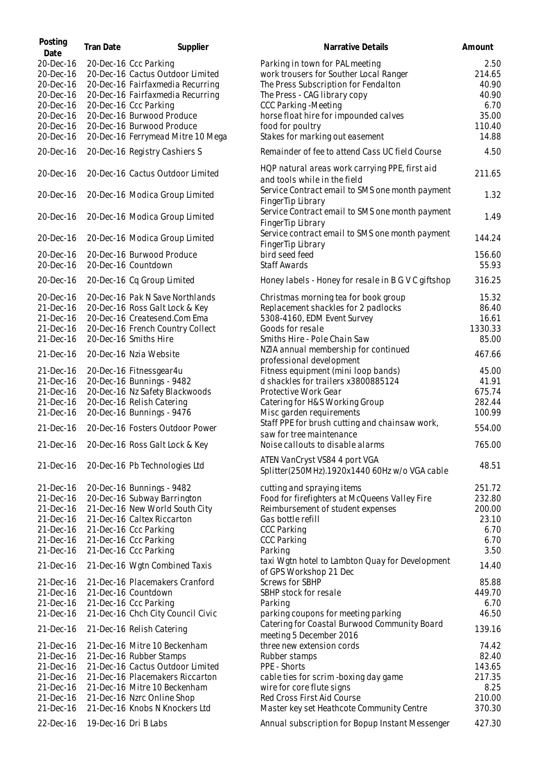| Posting<br>Date | Tran Date            | Supplier                          | Narrative Details                                                              | Amount  |
|-----------------|----------------------|-----------------------------------|--------------------------------------------------------------------------------|---------|
| 20-Dec-16       |                      | 20-Dec-16 Ccc Parking             | Parking in town for PAL meeting                                                | 2.50    |
| 20-Dec-16       |                      | 20-Dec-16 Cactus Outdoor Limited  | work trousers for Souther Local Ranger                                         | 214.65  |
| 20-Dec-16       |                      | 20-Dec-16 Fairfaxmedia Recurring  | The Press Subscription for Fendalton                                           | 40.90   |
|                 |                      |                                   |                                                                                |         |
| 20-Dec-16       |                      | 20-Dec-16 Fairfaxmedia Recurring  | The Press - CAG library copy                                                   | 40.90   |
| 20-Dec-16       |                      | 20-Dec-16 Ccc Parking             | <b>CCC Parking - Meeting</b>                                                   | 6.70    |
| 20-Dec-16       |                      | 20-Dec-16 Burwood Produce         | horse float hire for impounded calves                                          | 35.00   |
| 20-Dec-16       |                      | 20-Dec-16 Burwood Produce         | food for poultry                                                               | 110.40  |
| 20-Dec-16       |                      | 20-Dec-16 Ferrymead Mitre 10 Mega | Stakes for marking out easement                                                | 14.88   |
|                 |                      |                                   |                                                                                |         |
| 20-Dec-16       |                      | 20-Dec-16 Registry Cashiers S     | Remainder of fee to attend Cass UC field Course                                | 4.50    |
| 20-Dec-16       |                      | 20-Dec-16 Cactus Outdoor Limited  | HQP natural areas work carrying PPE, first aid<br>and tools while in the field | 211.65  |
| 20-Dec-16       |                      | 20-Dec-16 Modica Group Limited    | Service Contract email to SMS one month payment<br>FingerTip Library           | 1.32    |
| 20-Dec-16       |                      | 20-Dec-16 Modica Group Limited    | Service Contract email to SMS one month payment<br>FingerTip Library           | 1.49    |
| 20-Dec-16       |                      | 20-Dec-16 Modica Group Limited    | Service contract email to SMS one month payment<br>FingerTip Library           | 144.24  |
| 20-Dec-16       |                      | 20-Dec-16 Burwood Produce         | bird seed feed                                                                 | 156.60  |
| 20-Dec-16       |                      | 20-Dec-16 Countdown               | <b>Staff Awards</b>                                                            | 55.93   |
| 20-Dec-16       |                      | 20-Dec-16 Cq Group Limited        | Honey labels - Honey for resale in B G V C giftshop                            | 316.25  |
| 20-Dec-16       |                      | 20-Dec-16 Pak N Save Northlands   | Christmas morning tea for book group                                           | 15.32   |
| 21-Dec-16       |                      | 20-Dec-16 Ross Galt Lock & Key    | Replacement shackles for 2 padlocks                                            | 86.40   |
| 21-Dec-16       |                      | 20-Dec-16 Createsend.Com Ema      | 5308-4160, EDM Event Survey                                                    | 16.61   |
|                 |                      |                                   |                                                                                |         |
| 21-Dec-16       |                      | 20-Dec-16 French Country Collect  | Goods for resale                                                               | 1330.33 |
| 21-Dec-16       |                      | 20-Dec-16 Smiths Hire             | Smiths Hire - Pole Chain Saw                                                   | 85.00   |
| 21-Dec-16       |                      | 20-Dec-16 Nzia Website            | NZIA annual membership for continued<br>professional development               | 467.66  |
| 21-Dec-16       |                      | 20-Dec-16 Fitnessgear4u           | Fitness equipment (mini loop bands)                                            | 45.00   |
| 21-Dec-16       |                      | 20-Dec-16 Bunnings - 9482         | d shackles for trailers x3800885124                                            | 41.91   |
|                 |                      |                                   |                                                                                |         |
| 21-Dec-16       |                      | 20-Dec-16 Nz Safety Blackwoods    | Protective Work Gear                                                           | 675.74  |
| 21-Dec-16       |                      | 20-Dec-16 Relish Catering         | Catering for H&S Working Group                                                 | 282.44  |
| 21-Dec-16       |                      | 20-Dec-16 Bunnings - 9476         | Misc garden requirements<br>Staff PPE for brush cutting and chainsaw work,     | 100.99  |
| 21-Dec-16       |                      | 20-Dec-16 Fosters Outdoor Power   | saw for tree maintenance                                                       | 554.00  |
| 21-Dec-16       |                      | 20-Dec-16 Ross Galt Lock & Key    | Noise callouts to disable alarms                                               | 765.00  |
| 21-Dec-16       |                      | 20-Dec-16 Pb Technologies Ltd     | ATEN VanCryst VS84 4 port VGA<br>Splitter(250MHz).1920x1440 60Hz w/o VGA cable | 48.51   |
| 21-Dec-16       |                      | 20-Dec-16 Bunnings - 9482         | cutting and spraying items                                                     | 251.72  |
| 21-Dec-16       |                      | 20-Dec-16 Subway Barrington       | Food for firefighters at McQueens Valley Fire                                  | 232.80  |
| 21-Dec-16       |                      | 21-Dec-16 New World South City    | Reimbursement of student expenses                                              | 200.00  |
|                 |                      |                                   |                                                                                |         |
| 21-Dec-16       |                      | 21-Dec-16 Caltex Riccarton        | Gas bottle refill                                                              | 23.10   |
| 21-Dec-16       |                      | 21-Dec-16 Ccc Parking             | <b>CCC Parking</b>                                                             | 6.70    |
| 21-Dec-16       |                      | 21-Dec-16 Ccc Parking             | <b>CCC Parking</b>                                                             | 6.70    |
| 21-Dec-16       |                      | 21-Dec-16 Ccc Parking             | Parking                                                                        | 3.50    |
| 21-Dec-16       |                      | 21-Dec-16 Wgtn Combined Taxis     | taxi Wgtn hotel to Lambton Quay for Development<br>of GPS Workshop 21 Dec      | 14.40   |
| 21-Dec-16       |                      | 21-Dec-16 Placemakers Cranford    | <b>Screws for SBHP</b>                                                         | 85.88   |
| 21-Dec-16       |                      | 21-Dec-16 Countdown               | SBHP stock for resale                                                          | 449.70  |
| 21-Dec-16       |                      | 21-Dec-16 Ccc Parking             | Parking                                                                        | 6.70    |
|                 |                      |                                   |                                                                                |         |
| 21-Dec-16       |                      | 21-Dec-16 Chch City Council Civic | parking coupons for meeting parking                                            | 46.50   |
| 21-Dec-16       |                      | 21-Dec-16 Relish Catering         | Catering for Coastal Burwood Community Board<br>meeting 5 December 2016        | 139.16  |
| 21-Dec-16       |                      | 21-Dec-16 Mitre 10 Beckenham      | three new extension cords                                                      | 74.42   |
| 21-Dec-16       |                      | 21-Dec-16 Rubber Stamps           | Rubber stamps                                                                  | 82.40   |
| 21-Dec-16       |                      | 21-Dec-16 Cactus Outdoor Limited  | PPE - Shorts                                                                   | 143.65  |
|                 |                      | 21-Dec-16 Placemakers Riccarton   |                                                                                | 217.35  |
| 21-Dec-16       |                      |                                   | cable ties for scrim-boxing day game                                           |         |
| 21-Dec-16       |                      | 21-Dec-16 Mitre 10 Beckenham      | wire for core flute signs                                                      | 8.25    |
| 21-Dec-16       |                      | 21-Dec-16 Nzrc Online Shop        | Red Cross First Aid Course                                                     | 210.00  |
| 21-Dec-16       |                      | 21-Dec-16 Knobs N Knockers Ltd    | Master key set Heathcote Community Centre                                      | 370.30  |
| 22-Dec-16       | 19-Dec-16 Dri B Labs |                                   | Annual subscription for Bopup Instant Messenger                                | 427.30  |